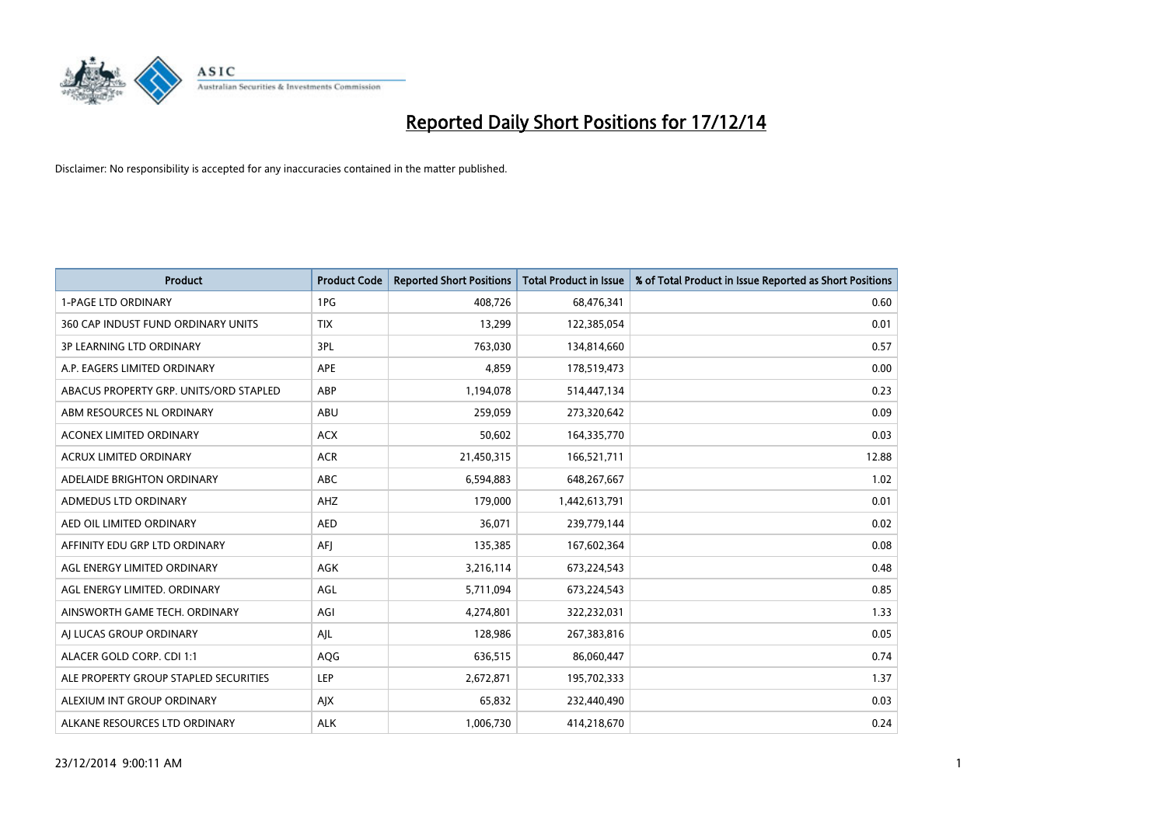

| <b>Product</b>                         | <b>Product Code</b> | <b>Reported Short Positions</b> | <b>Total Product in Issue</b> | % of Total Product in Issue Reported as Short Positions |
|----------------------------------------|---------------------|---------------------------------|-------------------------------|---------------------------------------------------------|
| <b>1-PAGE LTD ORDINARY</b>             | 1PG                 | 408,726                         | 68,476,341                    | 0.60                                                    |
| 360 CAP INDUST FUND ORDINARY UNITS     | <b>TIX</b>          | 13,299                          | 122,385,054                   | 0.01                                                    |
| <b>3P LEARNING LTD ORDINARY</b>        | 3PL                 | 763,030                         | 134,814,660                   | 0.57                                                    |
| A.P. EAGERS LIMITED ORDINARY           | <b>APE</b>          | 4,859                           | 178,519,473                   | 0.00                                                    |
| ABACUS PROPERTY GRP. UNITS/ORD STAPLED | ABP                 | 1,194,078                       | 514,447,134                   | 0.23                                                    |
| ABM RESOURCES NL ORDINARY              | ABU                 | 259,059                         | 273,320,642                   | 0.09                                                    |
| <b>ACONEX LIMITED ORDINARY</b>         | <b>ACX</b>          | 50,602                          | 164,335,770                   | 0.03                                                    |
| ACRUX LIMITED ORDINARY                 | <b>ACR</b>          | 21,450,315                      | 166,521,711                   | 12.88                                                   |
| ADELAIDE BRIGHTON ORDINARY             | <b>ABC</b>          | 6,594,883                       | 648,267,667                   | 1.02                                                    |
| ADMEDUS LTD ORDINARY                   | AHZ                 | 179,000                         | 1,442,613,791                 | 0.01                                                    |
| AED OIL LIMITED ORDINARY               | <b>AED</b>          | 36,071                          | 239,779,144                   | 0.02                                                    |
| AFFINITY EDU GRP LTD ORDINARY          | AFJ                 | 135,385                         | 167,602,364                   | 0.08                                                    |
| AGL ENERGY LIMITED ORDINARY            | AGK                 | 3,216,114                       | 673,224,543                   | 0.48                                                    |
| AGL ENERGY LIMITED. ORDINARY           | AGL                 | 5,711,094                       | 673,224,543                   | 0.85                                                    |
| AINSWORTH GAME TECH. ORDINARY          | AGI                 | 4,274,801                       | 322,232,031                   | 1.33                                                    |
| AI LUCAS GROUP ORDINARY                | AJL                 | 128,986                         | 267,383,816                   | 0.05                                                    |
| ALACER GOLD CORP. CDI 1:1              | AQG                 | 636,515                         | 86,060,447                    | 0.74                                                    |
| ALE PROPERTY GROUP STAPLED SECURITIES  | <b>LEP</b>          | 2,672,871                       | 195,702,333                   | 1.37                                                    |
| ALEXIUM INT GROUP ORDINARY             | AJX                 | 65,832                          | 232,440,490                   | 0.03                                                    |
| ALKANE RESOURCES LTD ORDINARY          | <b>ALK</b>          | 1,006,730                       | 414,218,670                   | 0.24                                                    |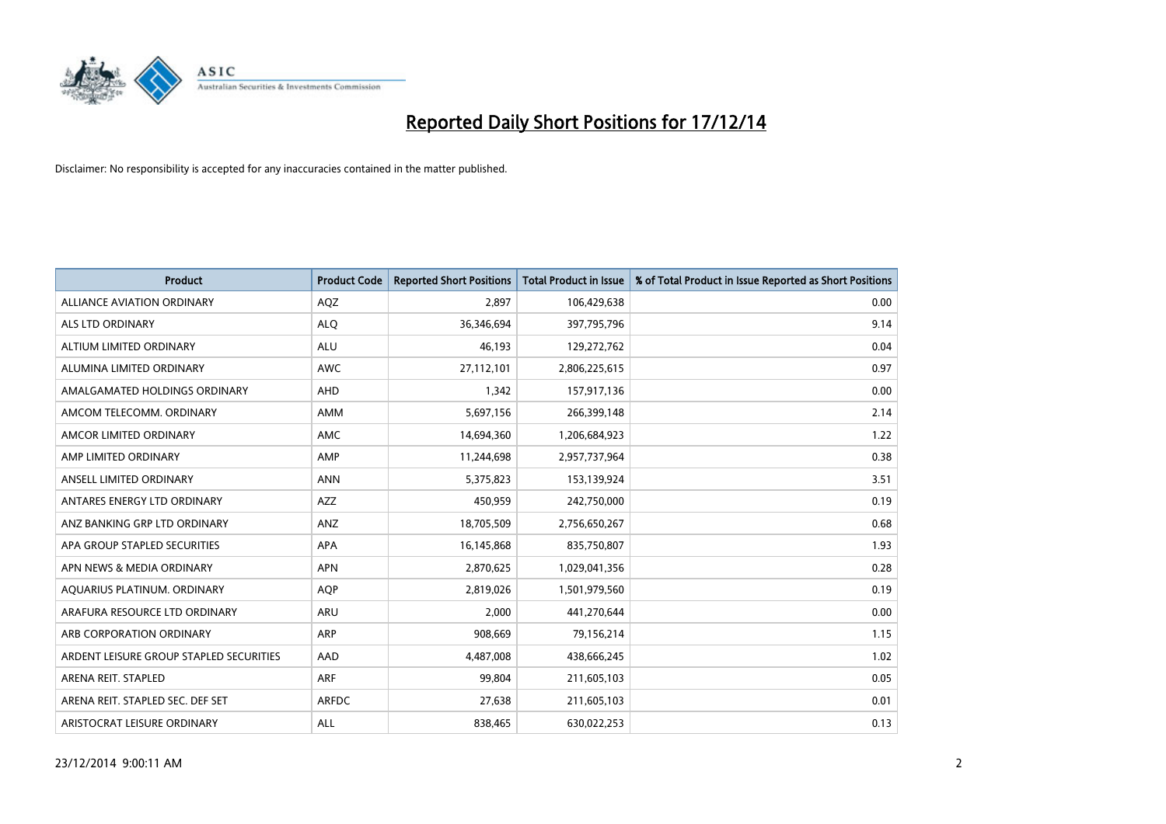

| <b>Product</b>                          | <b>Product Code</b> | <b>Reported Short Positions</b> | <b>Total Product in Issue</b> | % of Total Product in Issue Reported as Short Positions |
|-----------------------------------------|---------------------|---------------------------------|-------------------------------|---------------------------------------------------------|
| <b>ALLIANCE AVIATION ORDINARY</b>       | AQZ                 | 2,897                           | 106,429,638                   | 0.00                                                    |
| ALS LTD ORDINARY                        | <b>ALQ</b>          | 36,346,694                      | 397,795,796                   | 9.14                                                    |
| ALTIUM LIMITED ORDINARY                 | <b>ALU</b>          | 46,193                          | 129,272,762                   | 0.04                                                    |
| ALUMINA LIMITED ORDINARY                | <b>AWC</b>          | 27,112,101                      | 2,806,225,615                 | 0.97                                                    |
| AMALGAMATED HOLDINGS ORDINARY           | AHD                 | 1,342                           | 157,917,136                   | 0.00                                                    |
| AMCOM TELECOMM, ORDINARY                | AMM                 | 5,697,156                       | 266,399,148                   | 2.14                                                    |
| AMCOR LIMITED ORDINARY                  | <b>AMC</b>          | 14,694,360                      | 1,206,684,923                 | 1.22                                                    |
| AMP LIMITED ORDINARY                    | AMP                 | 11,244,698                      | 2,957,737,964                 | 0.38                                                    |
| ANSELL LIMITED ORDINARY                 | <b>ANN</b>          | 5,375,823                       | 153,139,924                   | 3.51                                                    |
| ANTARES ENERGY LTD ORDINARY             | AZZ                 | 450,959                         | 242,750,000                   | 0.19                                                    |
| ANZ BANKING GRP LTD ORDINARY            | ANZ                 | 18,705,509                      | 2,756,650,267                 | 0.68                                                    |
| APA GROUP STAPLED SECURITIES            | APA                 | 16,145,868                      | 835,750,807                   | 1.93                                                    |
| APN NEWS & MEDIA ORDINARY               | <b>APN</b>          | 2,870,625                       | 1,029,041,356                 | 0.28                                                    |
| AQUARIUS PLATINUM. ORDINARY             | <b>AOP</b>          | 2,819,026                       | 1,501,979,560                 | 0.19                                                    |
| ARAFURA RESOURCE LTD ORDINARY           | <b>ARU</b>          | 2,000                           | 441,270,644                   | 0.00                                                    |
| ARB CORPORATION ORDINARY                | ARP                 | 908,669                         | 79,156,214                    | 1.15                                                    |
| ARDENT LEISURE GROUP STAPLED SECURITIES | AAD                 | 4,487,008                       | 438,666,245                   | 1.02                                                    |
| ARENA REIT. STAPLED                     | <b>ARF</b>          | 99,804                          | 211,605,103                   | 0.05                                                    |
| ARENA REIT. STAPLED SEC. DEF SET        | ARFDC               | 27,638                          | 211,605,103                   | 0.01                                                    |
| ARISTOCRAT LEISURE ORDINARY             | ALL                 | 838,465                         | 630,022,253                   | 0.13                                                    |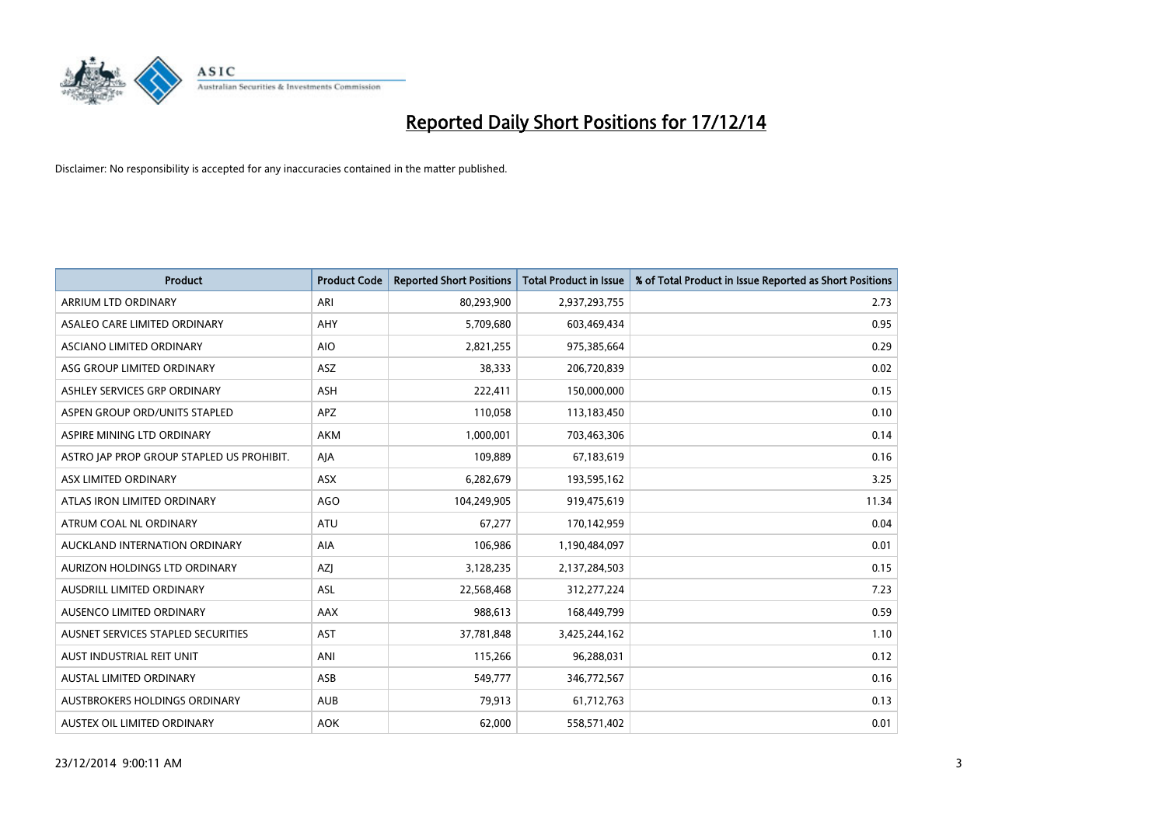

| <b>Product</b>                            | <b>Product Code</b> | <b>Reported Short Positions</b> | <b>Total Product in Issue</b> | % of Total Product in Issue Reported as Short Positions |
|-------------------------------------------|---------------------|---------------------------------|-------------------------------|---------------------------------------------------------|
| ARRIUM LTD ORDINARY                       | ARI                 | 80,293,900                      | 2,937,293,755                 | 2.73                                                    |
| ASALEO CARE LIMITED ORDINARY              | <b>AHY</b>          | 5,709,680                       | 603,469,434                   | 0.95                                                    |
| ASCIANO LIMITED ORDINARY                  | <b>AIO</b>          | 2,821,255                       | 975,385,664                   | 0.29                                                    |
| ASG GROUP LIMITED ORDINARY                | <b>ASZ</b>          | 38,333                          | 206,720,839                   | 0.02                                                    |
| ASHLEY SERVICES GRP ORDINARY              | <b>ASH</b>          | 222,411                         | 150,000,000                   | 0.15                                                    |
| ASPEN GROUP ORD/UNITS STAPLED             | <b>APZ</b>          | 110,058                         | 113,183,450                   | 0.10                                                    |
| ASPIRE MINING LTD ORDINARY                | <b>AKM</b>          | 1,000,001                       | 703,463,306                   | 0.14                                                    |
| ASTRO JAP PROP GROUP STAPLED US PROHIBIT. | AJA                 | 109,889                         | 67,183,619                    | 0.16                                                    |
| ASX LIMITED ORDINARY                      | ASX                 | 6,282,679                       | 193,595,162                   | 3.25                                                    |
| ATLAS IRON LIMITED ORDINARY               | <b>AGO</b>          | 104,249,905                     | 919,475,619                   | 11.34                                                   |
| ATRUM COAL NL ORDINARY                    | ATU                 | 67,277                          | 170,142,959                   | 0.04                                                    |
| AUCKLAND INTERNATION ORDINARY             | <b>AIA</b>          | 106,986                         | 1,190,484,097                 | 0.01                                                    |
| AURIZON HOLDINGS LTD ORDINARY             | AZJ                 | 3,128,235                       | 2,137,284,503                 | 0.15                                                    |
| AUSDRILL LIMITED ORDINARY                 | ASL                 | 22,568,468                      | 312,277,224                   | 7.23                                                    |
| AUSENCO LIMITED ORDINARY                  | AAX                 | 988,613                         | 168,449,799                   | 0.59                                                    |
| AUSNET SERVICES STAPLED SECURITIES        | <b>AST</b>          | 37,781,848                      | 3,425,244,162                 | 1.10                                                    |
| AUST INDUSTRIAL REIT UNIT                 | ANI                 | 115,266                         | 96,288,031                    | 0.12                                                    |
| <b>AUSTAL LIMITED ORDINARY</b>            | ASB                 | 549,777                         | 346,772,567                   | 0.16                                                    |
| AUSTBROKERS HOLDINGS ORDINARY             | <b>AUB</b>          | 79,913                          | 61,712,763                    | 0.13                                                    |
| AUSTEX OIL LIMITED ORDINARY               | <b>AOK</b>          | 62,000                          | 558,571,402                   | 0.01                                                    |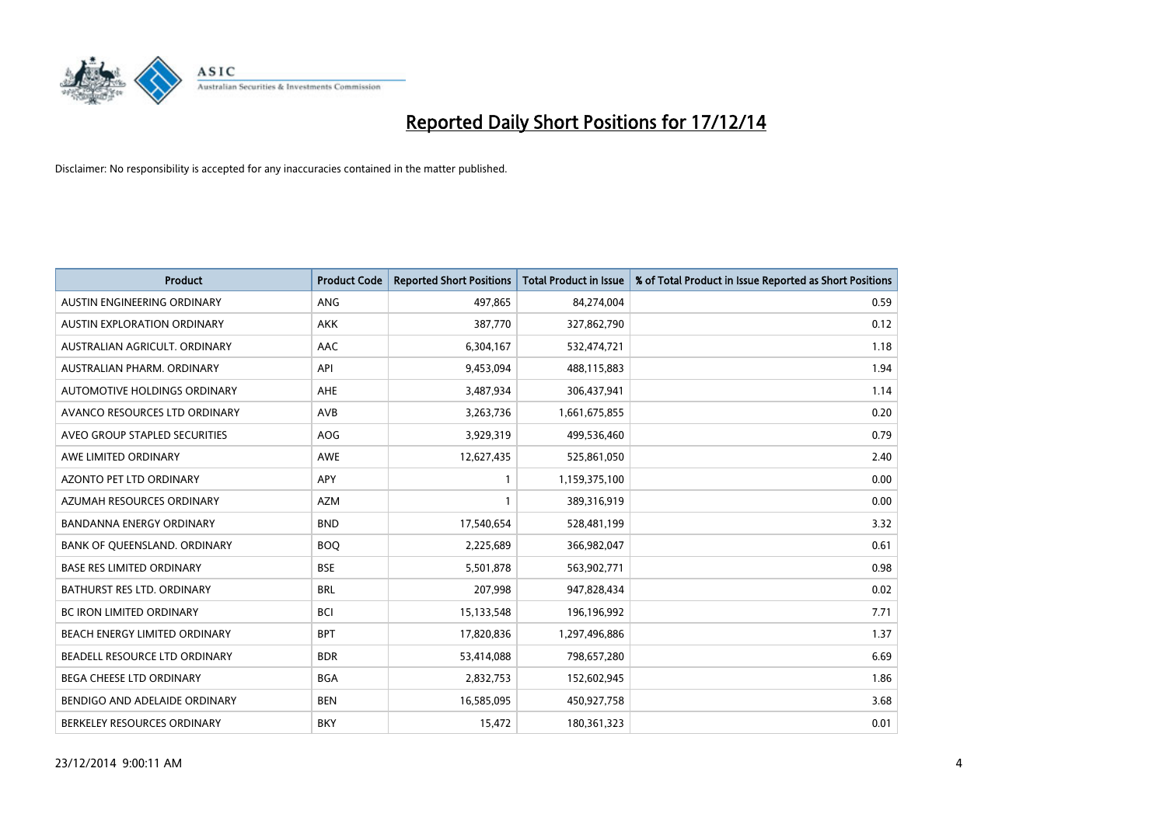

| <b>Product</b>                     | <b>Product Code</b> | <b>Reported Short Positions</b> | <b>Total Product in Issue</b> | % of Total Product in Issue Reported as Short Positions |
|------------------------------------|---------------------|---------------------------------|-------------------------------|---------------------------------------------------------|
| AUSTIN ENGINEERING ORDINARY        | ANG                 | 497,865                         | 84,274,004                    | 0.59                                                    |
| <b>AUSTIN EXPLORATION ORDINARY</b> | <b>AKK</b>          | 387,770                         | 327,862,790                   | 0.12                                                    |
| AUSTRALIAN AGRICULT, ORDINARY      | AAC                 | 6,304,167                       | 532,474,721                   | 1.18                                                    |
| AUSTRALIAN PHARM. ORDINARY         | API                 | 9,453,094                       | 488,115,883                   | 1.94                                                    |
| AUTOMOTIVE HOLDINGS ORDINARY       | AHE                 | 3,487,934                       | 306,437,941                   | 1.14                                                    |
| AVANCO RESOURCES LTD ORDINARY      | AVB                 | 3,263,736                       | 1,661,675,855                 | 0.20                                                    |
| AVEO GROUP STAPLED SECURITIES      | AOG                 | 3,929,319                       | 499,536,460                   | 0.79                                                    |
| AWE LIMITED ORDINARY               | <b>AWE</b>          | 12,627,435                      | 525,861,050                   | 2.40                                                    |
| <b>AZONTO PET LTD ORDINARY</b>     | APY                 | $\mathbf{1}$                    | 1,159,375,100                 | 0.00                                                    |
| AZUMAH RESOURCES ORDINARY          | <b>AZM</b>          | $\mathbf{1}$                    | 389,316,919                   | 0.00                                                    |
| <b>BANDANNA ENERGY ORDINARY</b>    | <b>BND</b>          | 17,540,654                      | 528,481,199                   | 3.32                                                    |
| BANK OF QUEENSLAND. ORDINARY       | <b>BOQ</b>          | 2,225,689                       | 366,982,047                   | 0.61                                                    |
| <b>BASE RES LIMITED ORDINARY</b>   | <b>BSE</b>          | 5,501,878                       | 563,902,771                   | 0.98                                                    |
| <b>BATHURST RES LTD. ORDINARY</b>  | <b>BRL</b>          | 207,998                         | 947,828,434                   | 0.02                                                    |
| <b>BC IRON LIMITED ORDINARY</b>    | <b>BCI</b>          | 15,133,548                      | 196,196,992                   | 7.71                                                    |
| BEACH ENERGY LIMITED ORDINARY      | <b>BPT</b>          | 17,820,836                      | 1,297,496,886                 | 1.37                                                    |
| BEADELL RESOURCE LTD ORDINARY      | <b>BDR</b>          | 53,414,088                      | 798,657,280                   | 6.69                                                    |
| BEGA CHEESE LTD ORDINARY           | <b>BGA</b>          | 2,832,753                       | 152,602,945                   | 1.86                                                    |
| BENDIGO AND ADELAIDE ORDINARY      | <b>BEN</b>          | 16,585,095                      | 450,927,758                   | 3.68                                                    |
| BERKELEY RESOURCES ORDINARY        | <b>BKY</b>          | 15,472                          | 180,361,323                   | 0.01                                                    |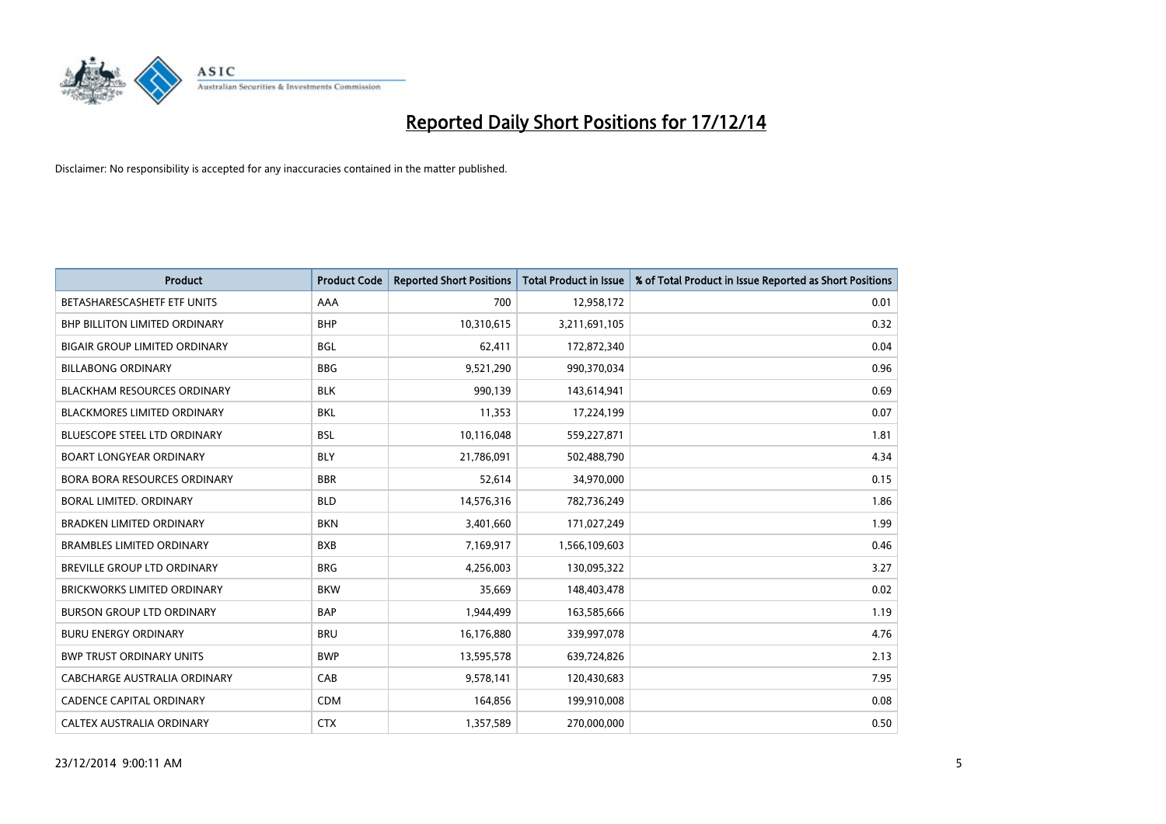

| <b>Product</b>                       | <b>Product Code</b> | <b>Reported Short Positions</b> | <b>Total Product in Issue</b> | % of Total Product in Issue Reported as Short Positions |
|--------------------------------------|---------------------|---------------------------------|-------------------------------|---------------------------------------------------------|
| BETASHARESCASHETF ETF UNITS          | AAA                 | 700                             | 12,958,172                    | 0.01                                                    |
| BHP BILLITON LIMITED ORDINARY        | <b>BHP</b>          | 10,310,615                      | 3,211,691,105                 | 0.32                                                    |
| <b>BIGAIR GROUP LIMITED ORDINARY</b> | <b>BGL</b>          | 62,411                          | 172,872,340                   | 0.04                                                    |
| <b>BILLABONG ORDINARY</b>            | <b>BBG</b>          | 9,521,290                       | 990,370,034                   | 0.96                                                    |
| <b>BLACKHAM RESOURCES ORDINARY</b>   | <b>BLK</b>          | 990,139                         | 143,614,941                   | 0.69                                                    |
| <b>BLACKMORES LIMITED ORDINARY</b>   | <b>BKL</b>          | 11,353                          | 17,224,199                    | 0.07                                                    |
| BLUESCOPE STEEL LTD ORDINARY         | <b>BSL</b>          | 10,116,048                      | 559,227,871                   | 1.81                                                    |
| <b>BOART LONGYEAR ORDINARY</b>       | <b>BLY</b>          | 21,786,091                      | 502,488,790                   | 4.34                                                    |
| <b>BORA BORA RESOURCES ORDINARY</b>  | <b>BBR</b>          | 52,614                          | 34,970,000                    | 0.15                                                    |
| <b>BORAL LIMITED, ORDINARY</b>       | <b>BLD</b>          | 14,576,316                      | 782,736,249                   | 1.86                                                    |
| <b>BRADKEN LIMITED ORDINARY</b>      | <b>BKN</b>          | 3,401,660                       | 171,027,249                   | 1.99                                                    |
| <b>BRAMBLES LIMITED ORDINARY</b>     | <b>BXB</b>          | 7,169,917                       | 1,566,109,603                 | 0.46                                                    |
| BREVILLE GROUP LTD ORDINARY          | <b>BRG</b>          | 4,256,003                       | 130,095,322                   | 3.27                                                    |
| <b>BRICKWORKS LIMITED ORDINARY</b>   | <b>BKW</b>          | 35,669                          | 148,403,478                   | 0.02                                                    |
| <b>BURSON GROUP LTD ORDINARY</b>     | <b>BAP</b>          | 1,944,499                       | 163,585,666                   | 1.19                                                    |
| <b>BURU ENERGY ORDINARY</b>          | <b>BRU</b>          | 16,176,880                      | 339,997,078                   | 4.76                                                    |
| <b>BWP TRUST ORDINARY UNITS</b>      | <b>BWP</b>          | 13,595,578                      | 639,724,826                   | 2.13                                                    |
| <b>CABCHARGE AUSTRALIA ORDINARY</b>  | CAB                 | 9,578,141                       | 120,430,683                   | 7.95                                                    |
| <b>CADENCE CAPITAL ORDINARY</b>      | <b>CDM</b>          | 164,856                         | 199,910,008                   | 0.08                                                    |
| CALTEX AUSTRALIA ORDINARY            | <b>CTX</b>          | 1,357,589                       | 270,000,000                   | 0.50                                                    |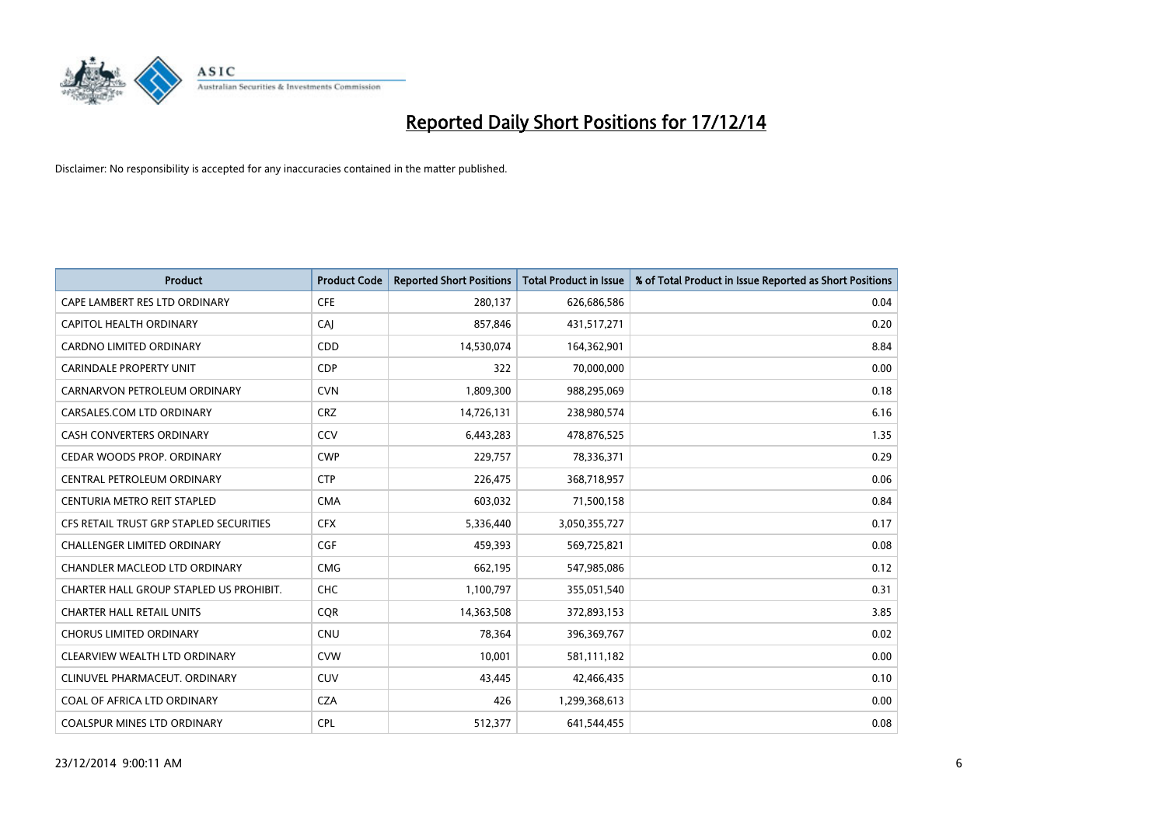

| <b>Product</b>                          | <b>Product Code</b> | <b>Reported Short Positions</b> | <b>Total Product in Issue</b> | % of Total Product in Issue Reported as Short Positions |
|-----------------------------------------|---------------------|---------------------------------|-------------------------------|---------------------------------------------------------|
| CAPE LAMBERT RES LTD ORDINARY           | <b>CFE</b>          | 280,137                         | 626,686,586                   | 0.04                                                    |
| CAPITOL HEALTH ORDINARY                 | CAI                 | 857,846                         | 431,517,271                   | 0.20                                                    |
| <b>CARDNO LIMITED ORDINARY</b>          | CDD                 | 14,530,074                      | 164,362,901                   | 8.84                                                    |
| <b>CARINDALE PROPERTY UNIT</b>          | <b>CDP</b>          | 322                             | 70,000,000                    | 0.00                                                    |
| CARNARVON PETROLEUM ORDINARY            | <b>CVN</b>          | 1,809,300                       | 988,295,069                   | 0.18                                                    |
| CARSALES.COM LTD ORDINARY               | <b>CRZ</b>          | 14,726,131                      | 238,980,574                   | 6.16                                                    |
| <b>CASH CONVERTERS ORDINARY</b>         | CCV                 | 6,443,283                       | 478,876,525                   | 1.35                                                    |
| CEDAR WOODS PROP. ORDINARY              | <b>CWP</b>          | 229,757                         | 78,336,371                    | 0.29                                                    |
| CENTRAL PETROLEUM ORDINARY              | <b>CTP</b>          | 226,475                         | 368,718,957                   | 0.06                                                    |
| CENTURIA METRO REIT STAPLED             | <b>CMA</b>          | 603,032                         | 71,500,158                    | 0.84                                                    |
| CFS RETAIL TRUST GRP STAPLED SECURITIES | <b>CFX</b>          | 5,336,440                       | 3,050,355,727                 | 0.17                                                    |
| <b>CHALLENGER LIMITED ORDINARY</b>      | <b>CGF</b>          | 459,393                         | 569,725,821                   | 0.08                                                    |
| CHANDLER MACLEOD LTD ORDINARY           | <b>CMG</b>          | 662,195                         | 547,985,086                   | 0.12                                                    |
| CHARTER HALL GROUP STAPLED US PROHIBIT. | <b>CHC</b>          | 1,100,797                       | 355,051,540                   | 0.31                                                    |
| <b>CHARTER HALL RETAIL UNITS</b>        | CQR                 | 14,363,508                      | 372,893,153                   | 3.85                                                    |
| <b>CHORUS LIMITED ORDINARY</b>          | <b>CNU</b>          | 78,364                          | 396,369,767                   | 0.02                                                    |
| CLEARVIEW WEALTH LTD ORDINARY           | <b>CVW</b>          | 10,001                          | 581,111,182                   | 0.00                                                    |
| CLINUVEL PHARMACEUT. ORDINARY           | <b>CUV</b>          | 43,445                          | 42,466,435                    | 0.10                                                    |
| COAL OF AFRICA LTD ORDINARY             | <b>CZA</b>          | 426                             | 1,299,368,613                 | 0.00                                                    |
| <b>COALSPUR MINES LTD ORDINARY</b>      | <b>CPL</b>          | 512,377                         | 641,544,455                   | 0.08                                                    |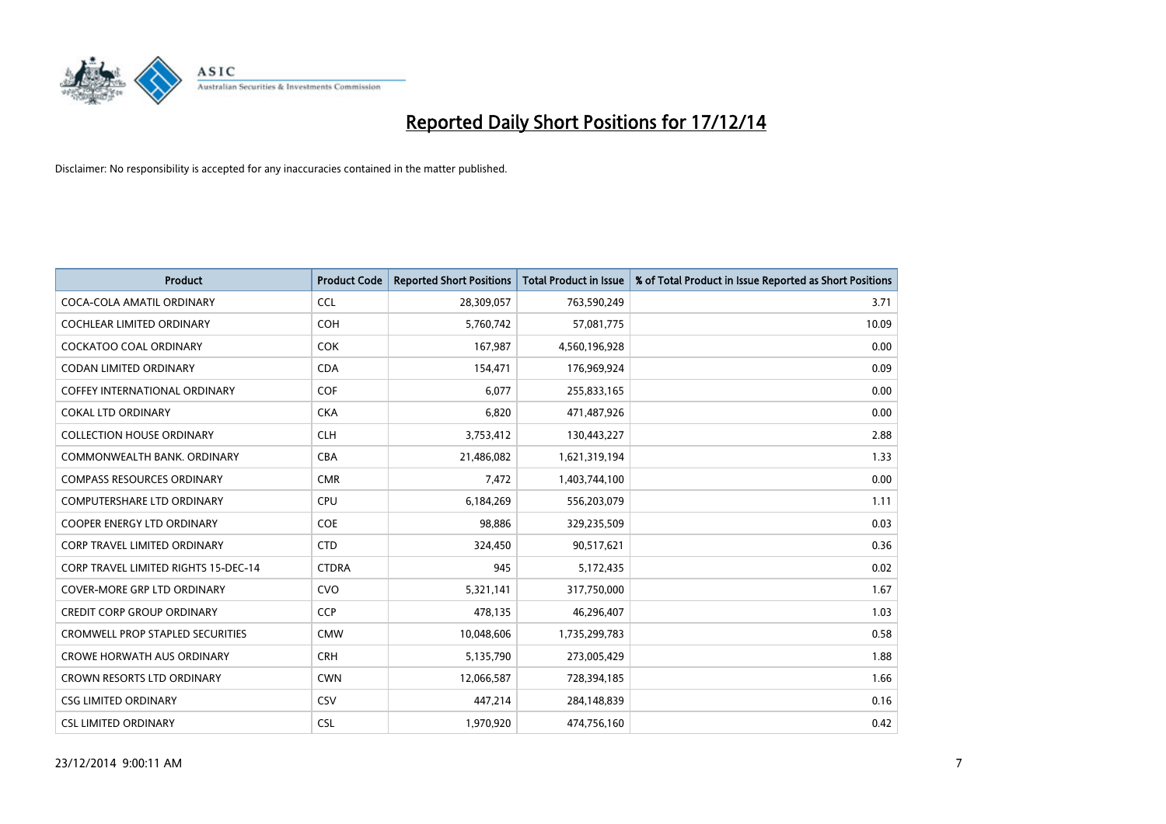

| <b>Product</b>                              | <b>Product Code</b> | <b>Reported Short Positions</b> | <b>Total Product in Issue</b> | % of Total Product in Issue Reported as Short Positions |
|---------------------------------------------|---------------------|---------------------------------|-------------------------------|---------------------------------------------------------|
| COCA-COLA AMATIL ORDINARY                   | <b>CCL</b>          | 28,309,057                      | 763,590,249                   | 3.71                                                    |
| COCHLEAR LIMITED ORDINARY                   | <b>COH</b>          | 5,760,742                       | 57,081,775                    | 10.09                                                   |
| COCKATOO COAL ORDINARY                      | <b>COK</b>          | 167,987                         | 4,560,196,928                 | 0.00                                                    |
| <b>CODAN LIMITED ORDINARY</b>               | <b>CDA</b>          | 154,471                         | 176,969,924                   | 0.09                                                    |
| COFFEY INTERNATIONAL ORDINARY               | <b>COF</b>          | 6,077                           | 255,833,165                   | 0.00                                                    |
| <b>COKAL LTD ORDINARY</b>                   | <b>CKA</b>          | 6,820                           | 471,487,926                   | 0.00                                                    |
| <b>COLLECTION HOUSE ORDINARY</b>            | <b>CLH</b>          | 3,753,412                       | 130,443,227                   | 2.88                                                    |
| COMMONWEALTH BANK, ORDINARY                 | <b>CBA</b>          | 21,486,082                      | 1,621,319,194                 | 1.33                                                    |
| <b>COMPASS RESOURCES ORDINARY</b>           | <b>CMR</b>          | 7,472                           | 1,403,744,100                 | 0.00                                                    |
| <b>COMPUTERSHARE LTD ORDINARY</b>           | <b>CPU</b>          | 6,184,269                       | 556,203,079                   | 1.11                                                    |
| COOPER ENERGY LTD ORDINARY                  | <b>COE</b>          | 98,886                          | 329,235,509                   | 0.03                                                    |
| <b>CORP TRAVEL LIMITED ORDINARY</b>         | <b>CTD</b>          | 324,450                         | 90,517,621                    | 0.36                                                    |
| <b>CORP TRAVEL LIMITED RIGHTS 15-DEC-14</b> | <b>CTDRA</b>        | 945                             | 5,172,435                     | 0.02                                                    |
| <b>COVER-MORE GRP LTD ORDINARY</b>          | <b>CVO</b>          | 5,321,141                       | 317,750,000                   | 1.67                                                    |
| <b>CREDIT CORP GROUP ORDINARY</b>           | <b>CCP</b>          | 478,135                         | 46,296,407                    | 1.03                                                    |
| <b>CROMWELL PROP STAPLED SECURITIES</b>     | <b>CMW</b>          | 10,048,606                      | 1,735,299,783                 | 0.58                                                    |
| <b>CROWE HORWATH AUS ORDINARY</b>           | <b>CRH</b>          | 5,135,790                       | 273,005,429                   | 1.88                                                    |
| CROWN RESORTS LTD ORDINARY                  | <b>CWN</b>          | 12,066,587                      | 728,394,185                   | 1.66                                                    |
| <b>CSG LIMITED ORDINARY</b>                 | CSV                 | 447,214                         | 284,148,839                   | 0.16                                                    |
| <b>CSL LIMITED ORDINARY</b>                 | <b>CSL</b>          | 1,970,920                       | 474,756,160                   | 0.42                                                    |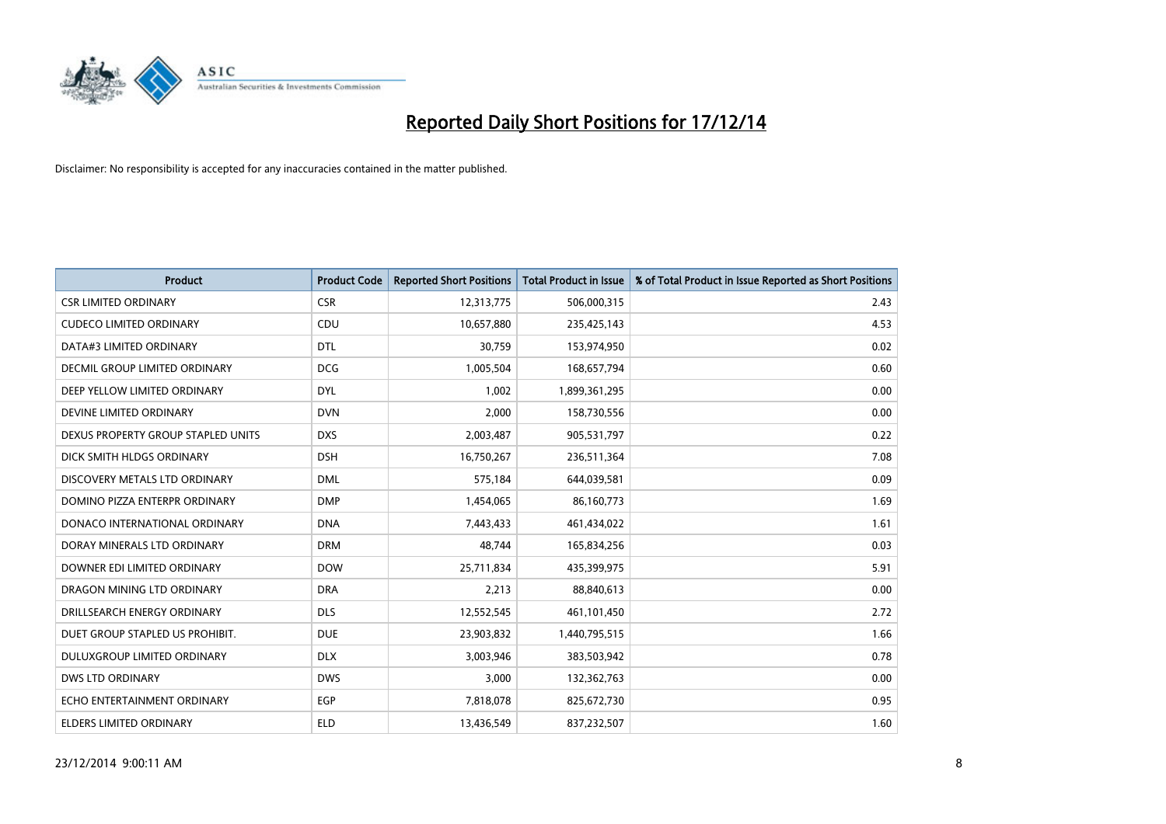

| <b>Product</b>                     | <b>Product Code</b> | <b>Reported Short Positions</b> | <b>Total Product in Issue</b> | % of Total Product in Issue Reported as Short Positions |
|------------------------------------|---------------------|---------------------------------|-------------------------------|---------------------------------------------------------|
| <b>CSR LIMITED ORDINARY</b>        | <b>CSR</b>          | 12,313,775                      | 506,000,315                   | 2.43                                                    |
| <b>CUDECO LIMITED ORDINARY</b>     | <b>CDU</b>          | 10,657,880                      | 235,425,143                   | 4.53                                                    |
| DATA#3 LIMITED ORDINARY            | <b>DTL</b>          | 30,759                          | 153,974,950                   | 0.02                                                    |
| DECMIL GROUP LIMITED ORDINARY      | <b>DCG</b>          | 1,005,504                       | 168,657,794                   | 0.60                                                    |
| DEEP YELLOW LIMITED ORDINARY       | <b>DYL</b>          | 1,002                           | 1,899,361,295                 | 0.00                                                    |
| DEVINE LIMITED ORDINARY            | <b>DVN</b>          | 2,000                           | 158,730,556                   | 0.00                                                    |
| DEXUS PROPERTY GROUP STAPLED UNITS | <b>DXS</b>          | 2,003,487                       | 905,531,797                   | 0.22                                                    |
| DICK SMITH HLDGS ORDINARY          | <b>DSH</b>          | 16,750,267                      | 236,511,364                   | 7.08                                                    |
| DISCOVERY METALS LTD ORDINARY      | <b>DML</b>          | 575,184                         | 644,039,581                   | 0.09                                                    |
| DOMINO PIZZA ENTERPR ORDINARY      | <b>DMP</b>          | 1,454,065                       | 86,160,773                    | 1.69                                                    |
| DONACO INTERNATIONAL ORDINARY      | <b>DNA</b>          | 7,443,433                       | 461,434,022                   | 1.61                                                    |
| DORAY MINERALS LTD ORDINARY        | <b>DRM</b>          | 48,744                          | 165,834,256                   | 0.03                                                    |
| DOWNER EDI LIMITED ORDINARY        | <b>DOW</b>          | 25,711,834                      | 435,399,975                   | 5.91                                                    |
| DRAGON MINING LTD ORDINARY         | <b>DRA</b>          | 2,213                           | 88,840,613                    | 0.00                                                    |
| DRILLSEARCH ENERGY ORDINARY        | <b>DLS</b>          | 12,552,545                      | 461,101,450                   | 2.72                                                    |
| DUET GROUP STAPLED US PROHIBIT.    | <b>DUE</b>          | 23,903,832                      | 1,440,795,515                 | 1.66                                                    |
| DULUXGROUP LIMITED ORDINARY        | <b>DLX</b>          | 3,003,946                       | 383,503,942                   | 0.78                                                    |
| <b>DWS LTD ORDINARY</b>            | <b>DWS</b>          | 3,000                           | 132,362,763                   | 0.00                                                    |
| ECHO ENTERTAINMENT ORDINARY        | <b>EGP</b>          | 7,818,078                       | 825,672,730                   | 0.95                                                    |
| ELDERS LIMITED ORDINARY            | <b>ELD</b>          | 13,436,549                      | 837,232,507                   | 1.60                                                    |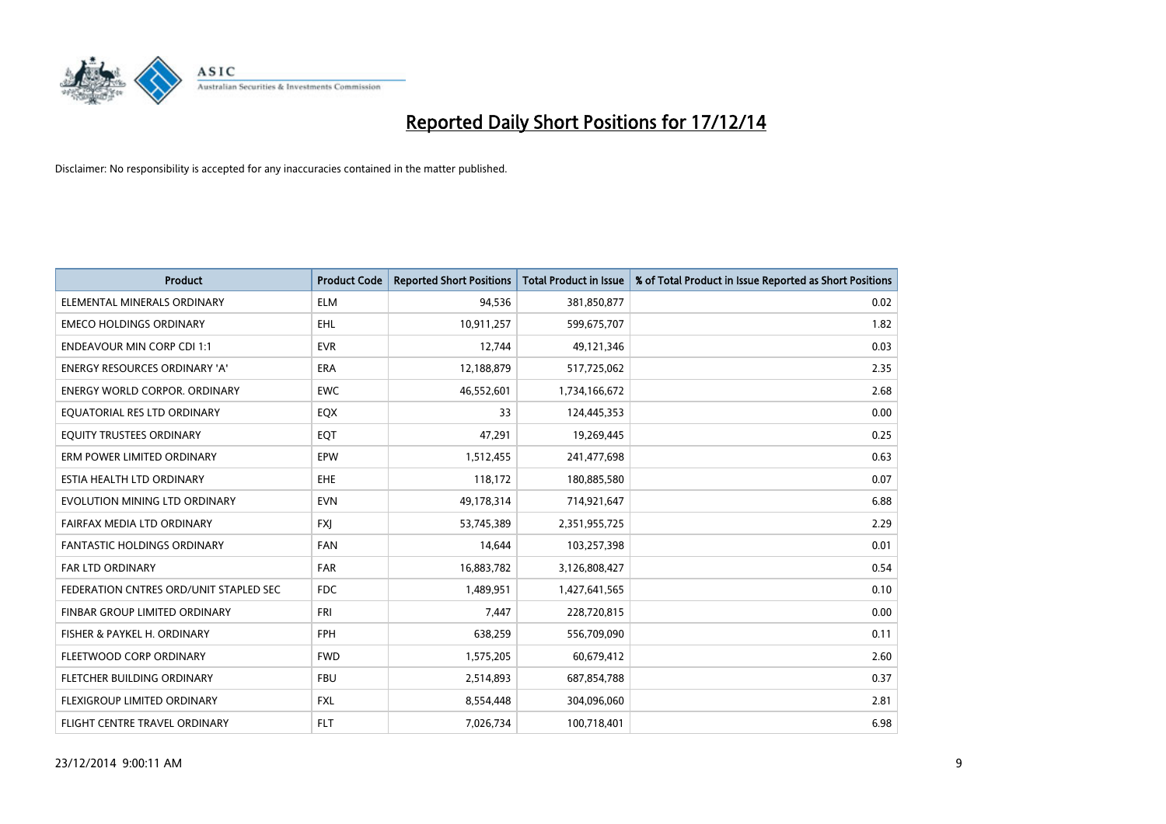

| <b>Product</b>                         | <b>Product Code</b> | <b>Reported Short Positions</b> | <b>Total Product in Issue</b> | % of Total Product in Issue Reported as Short Positions |
|----------------------------------------|---------------------|---------------------------------|-------------------------------|---------------------------------------------------------|
| ELEMENTAL MINERALS ORDINARY            | <b>ELM</b>          | 94,536                          | 381,850,877                   | 0.02                                                    |
| <b>EMECO HOLDINGS ORDINARY</b>         | EHL                 | 10,911,257                      | 599,675,707                   | 1.82                                                    |
| <b>ENDEAVOUR MIN CORP CDI 1:1</b>      | <b>EVR</b>          | 12,744                          | 49,121,346                    | 0.03                                                    |
| ENERGY RESOURCES ORDINARY 'A'          | <b>ERA</b>          | 12,188,879                      | 517,725,062                   | 2.35                                                    |
| <b>ENERGY WORLD CORPOR, ORDINARY</b>   | <b>EWC</b>          | 46,552,601                      | 1,734,166,672                 | 2.68                                                    |
| EQUATORIAL RES LTD ORDINARY            | EQX                 | 33                              | 124,445,353                   | 0.00                                                    |
| EQUITY TRUSTEES ORDINARY               | EQT                 | 47,291                          | 19,269,445                    | 0.25                                                    |
| ERM POWER LIMITED ORDINARY             | EPW                 | 1,512,455                       | 241,477,698                   | 0.63                                                    |
| ESTIA HEALTH LTD ORDINARY              | <b>EHE</b>          | 118,172                         | 180,885,580                   | 0.07                                                    |
| EVOLUTION MINING LTD ORDINARY          | <b>EVN</b>          | 49,178,314                      | 714,921,647                   | 6.88                                                    |
| FAIRFAX MEDIA LTD ORDINARY             | <b>FXI</b>          | 53,745,389                      | 2,351,955,725                 | 2.29                                                    |
| <b>FANTASTIC HOLDINGS ORDINARY</b>     | <b>FAN</b>          | 14,644                          | 103,257,398                   | 0.01                                                    |
| FAR LTD ORDINARY                       | <b>FAR</b>          | 16,883,782                      | 3,126,808,427                 | 0.54                                                    |
| FEDERATION CNTRES ORD/UNIT STAPLED SEC | <b>FDC</b>          | 1,489,951                       | 1,427,641,565                 | 0.10                                                    |
| FINBAR GROUP LIMITED ORDINARY          | <b>FRI</b>          | 7,447                           | 228,720,815                   | 0.00                                                    |
| FISHER & PAYKEL H. ORDINARY            | <b>FPH</b>          | 638,259                         | 556,709,090                   | 0.11                                                    |
| FLEETWOOD CORP ORDINARY                | <b>FWD</b>          | 1,575,205                       | 60,679,412                    | 2.60                                                    |
| FLETCHER BUILDING ORDINARY             | <b>FBU</b>          | 2,514,893                       | 687,854,788                   | 0.37                                                    |
| FLEXIGROUP LIMITED ORDINARY            | <b>FXL</b>          | 8,554,448                       | 304,096,060                   | 2.81                                                    |
| FLIGHT CENTRE TRAVEL ORDINARY          | <b>FLT</b>          | 7,026,734                       | 100,718,401                   | 6.98                                                    |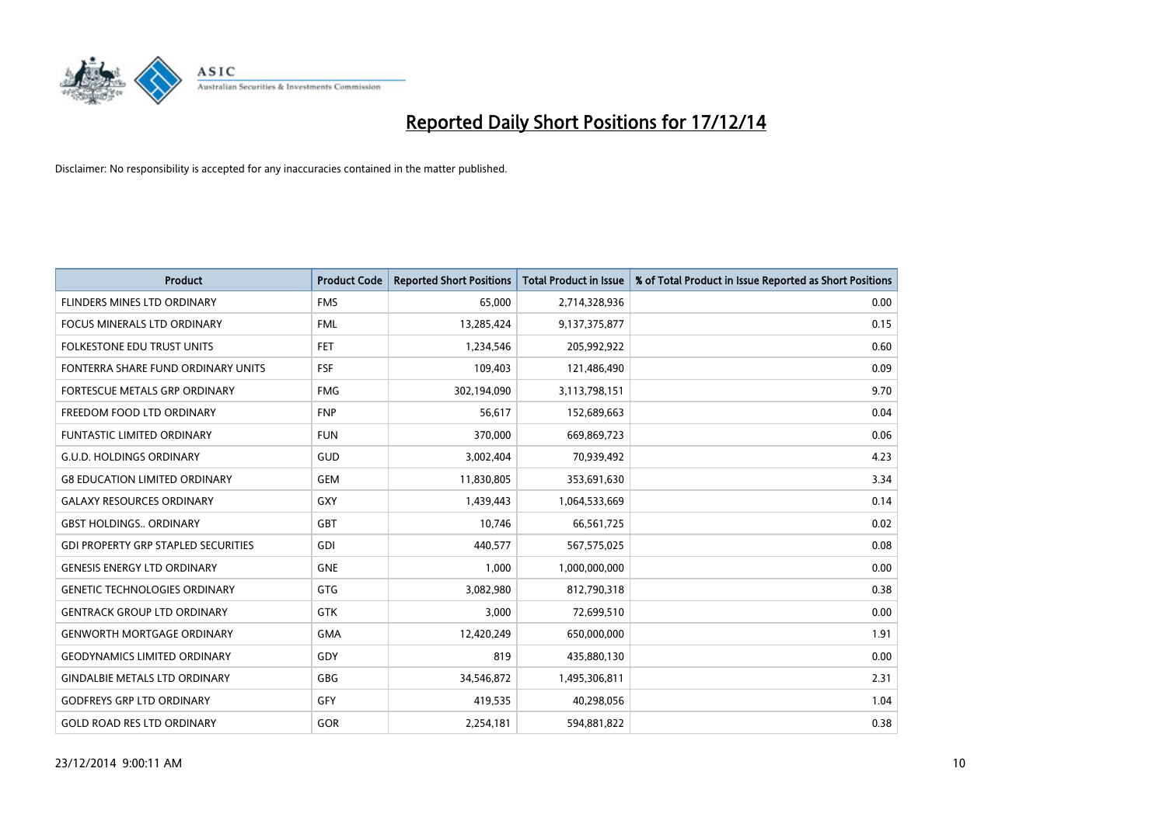

| <b>Product</b>                             | <b>Product Code</b> | <b>Reported Short Positions</b> | Total Product in Issue | % of Total Product in Issue Reported as Short Positions |
|--------------------------------------------|---------------------|---------------------------------|------------------------|---------------------------------------------------------|
| FLINDERS MINES LTD ORDINARY                | <b>FMS</b>          | 65,000                          | 2,714,328,936          | 0.00                                                    |
| FOCUS MINERALS LTD ORDINARY                | <b>FML</b>          | 13,285,424                      | 9,137,375,877          | 0.15                                                    |
| FOLKESTONE EDU TRUST UNITS                 | FET.                | 1,234,546                       | 205,992,922            | 0.60                                                    |
| FONTERRA SHARE FUND ORDINARY UNITS         | <b>FSF</b>          | 109,403                         | 121,486,490            | 0.09                                                    |
| FORTESCUE METALS GRP ORDINARY              | <b>FMG</b>          | 302,194,090                     | 3,113,798,151          | 9.70                                                    |
| FREEDOM FOOD LTD ORDINARY                  | <b>FNP</b>          | 56,617                          | 152,689,663            | 0.04                                                    |
| <b>FUNTASTIC LIMITED ORDINARY</b>          | <b>FUN</b>          | 370,000                         | 669,869,723            | 0.06                                                    |
| <b>G.U.D. HOLDINGS ORDINARY</b>            | GUD                 | 3,002,404                       | 70,939,492             | 4.23                                                    |
| <b>G8 EDUCATION LIMITED ORDINARY</b>       | <b>GEM</b>          | 11,830,805                      | 353,691,630            | 3.34                                                    |
| <b>GALAXY RESOURCES ORDINARY</b>           | <b>GXY</b>          | 1,439,443                       | 1,064,533,669          | 0.14                                                    |
| <b>GBST HOLDINGS ORDINARY</b>              | GBT                 | 10,746                          | 66,561,725             | 0.02                                                    |
| <b>GDI PROPERTY GRP STAPLED SECURITIES</b> | GDI                 | 440,577                         | 567,575,025            | 0.08                                                    |
| <b>GENESIS ENERGY LTD ORDINARY</b>         | <b>GNE</b>          | 1,000                           | 1,000,000,000          | 0.00                                                    |
| <b>GENETIC TECHNOLOGIES ORDINARY</b>       | GTG                 | 3,082,980                       | 812,790,318            | 0.38                                                    |
| <b>GENTRACK GROUP LTD ORDINARY</b>         | GTK                 | 3,000                           | 72,699,510             | 0.00                                                    |
| <b>GENWORTH MORTGAGE ORDINARY</b>          | <b>GMA</b>          | 12,420,249                      | 650,000,000            | 1.91                                                    |
| <b>GEODYNAMICS LIMITED ORDINARY</b>        | GDY                 | 819                             | 435,880,130            | 0.00                                                    |
| <b>GINDALBIE METALS LTD ORDINARY</b>       | <b>GBG</b>          | 34,546,872                      | 1,495,306,811          | 2.31                                                    |
| <b>GODFREYS GRP LTD ORDINARY</b>           | GFY                 | 419,535                         | 40,298,056             | 1.04                                                    |
| <b>GOLD ROAD RES LTD ORDINARY</b>          | <b>GOR</b>          | 2,254,181                       | 594,881,822            | 0.38                                                    |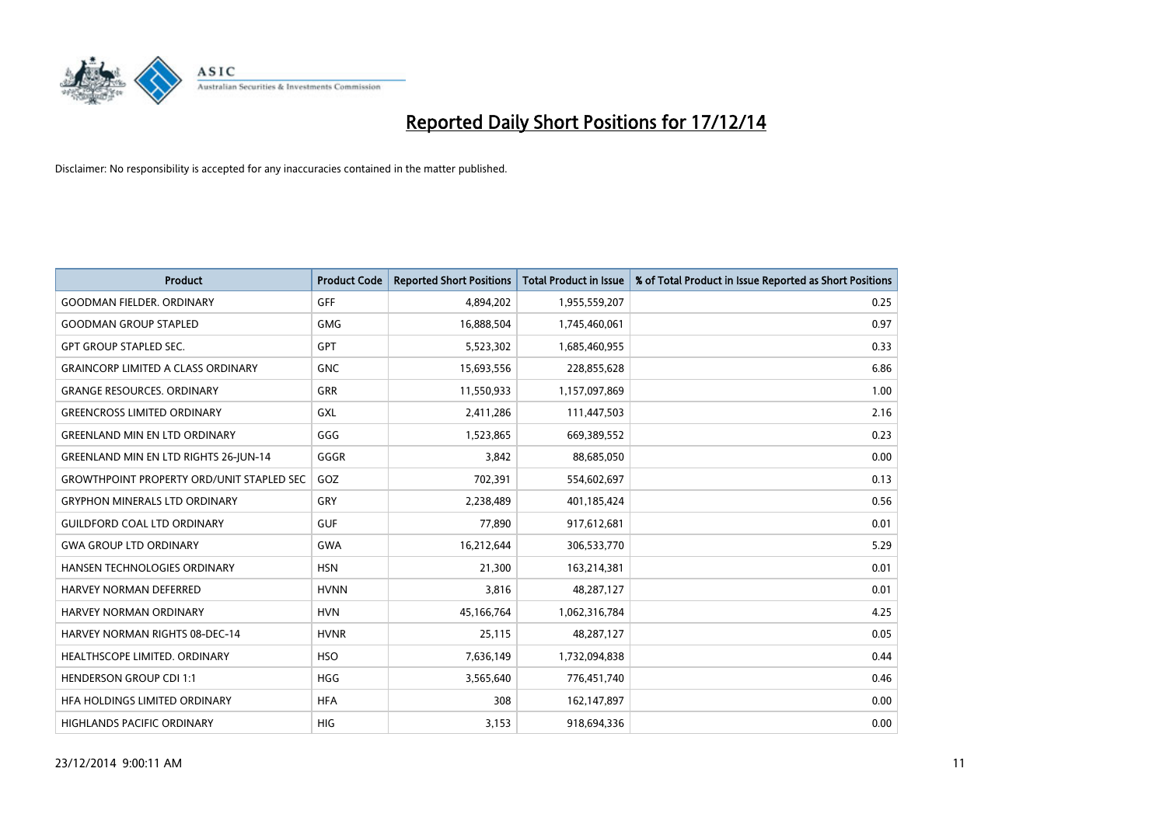

| <b>Product</b>                                   | <b>Product Code</b> | <b>Reported Short Positions</b> | <b>Total Product in Issue</b> | % of Total Product in Issue Reported as Short Positions |
|--------------------------------------------------|---------------------|---------------------------------|-------------------------------|---------------------------------------------------------|
| <b>GOODMAN FIELDER, ORDINARY</b>                 | <b>GFF</b>          | 4,894,202                       | 1,955,559,207                 | 0.25                                                    |
| <b>GOODMAN GROUP STAPLED</b>                     | <b>GMG</b>          | 16,888,504                      | 1,745,460,061                 | 0.97                                                    |
| <b>GPT GROUP STAPLED SEC.</b>                    | <b>GPT</b>          | 5,523,302                       | 1,685,460,955                 | 0.33                                                    |
| <b>GRAINCORP LIMITED A CLASS ORDINARY</b>        | <b>GNC</b>          | 15,693,556                      | 228,855,628                   | 6.86                                                    |
| <b>GRANGE RESOURCES, ORDINARY</b>                | <b>GRR</b>          | 11,550,933                      | 1,157,097,869                 | 1.00                                                    |
| <b>GREENCROSS LIMITED ORDINARY</b>               | GXL                 | 2,411,286                       | 111,447,503                   | 2.16                                                    |
| <b>GREENLAND MIN EN LTD ORDINARY</b>             | GGG                 | 1,523,865                       | 669,389,552                   | 0.23                                                    |
| <b>GREENLAND MIN EN LTD RIGHTS 26-JUN-14</b>     | GGGR                | 3,842                           | 88,685,050                    | 0.00                                                    |
| <b>GROWTHPOINT PROPERTY ORD/UNIT STAPLED SEC</b> | GOZ                 | 702,391                         | 554,602,697                   | 0.13                                                    |
| <b>GRYPHON MINERALS LTD ORDINARY</b>             | GRY                 | 2,238,489                       | 401,185,424                   | 0.56                                                    |
| <b>GUILDFORD COAL LTD ORDINARY</b>               | <b>GUF</b>          | 77,890                          | 917,612,681                   | 0.01                                                    |
| <b>GWA GROUP LTD ORDINARY</b>                    | <b>GWA</b>          | 16,212,644                      | 306,533,770                   | 5.29                                                    |
| HANSEN TECHNOLOGIES ORDINARY                     | <b>HSN</b>          | 21,300                          | 163,214,381                   | 0.01                                                    |
| <b>HARVEY NORMAN DEFERRED</b>                    | <b>HVNN</b>         | 3,816                           | 48,287,127                    | 0.01                                                    |
| <b>HARVEY NORMAN ORDINARY</b>                    | <b>HVN</b>          | 45,166,764                      | 1,062,316,784                 | 4.25                                                    |
| <b>HARVEY NORMAN RIGHTS 08-DEC-14</b>            | <b>HVNR</b>         | 25,115                          | 48,287,127                    | 0.05                                                    |
| HEALTHSCOPE LIMITED. ORDINARY                    | <b>HSO</b>          | 7,636,149                       | 1,732,094,838                 | 0.44                                                    |
| <b>HENDERSON GROUP CDI 1:1</b>                   | <b>HGG</b>          | 3,565,640                       | 776,451,740                   | 0.46                                                    |
| HFA HOLDINGS LIMITED ORDINARY                    | <b>HFA</b>          | 308                             | 162,147,897                   | 0.00                                                    |
| <b>HIGHLANDS PACIFIC ORDINARY</b>                | <b>HIG</b>          | 3,153                           | 918,694,336                   | 0.00                                                    |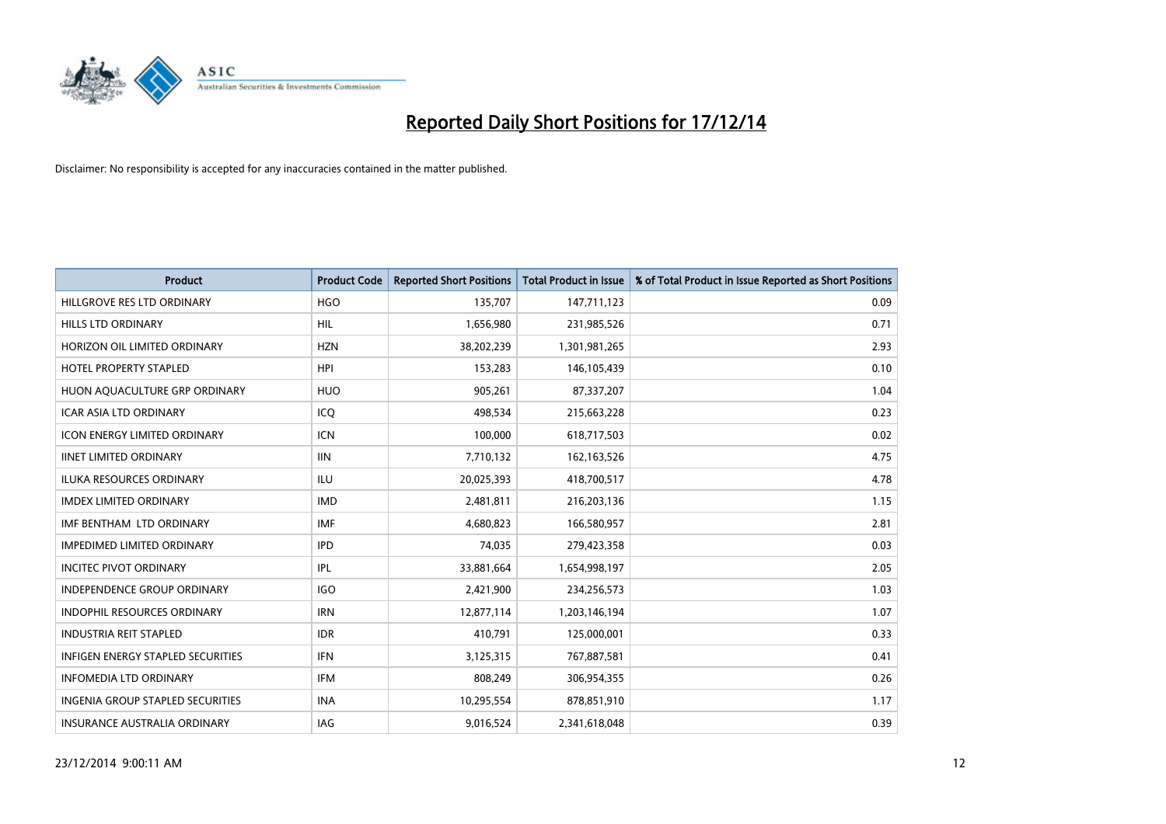

| <b>Product</b>                          | <b>Product Code</b> | <b>Reported Short Positions</b> | <b>Total Product in Issue</b> | % of Total Product in Issue Reported as Short Positions |
|-----------------------------------------|---------------------|---------------------------------|-------------------------------|---------------------------------------------------------|
| HILLGROVE RES LTD ORDINARY              | <b>HGO</b>          | 135,707                         | 147,711,123                   | 0.09                                                    |
| <b>HILLS LTD ORDINARY</b>               | HIL                 | 1,656,980                       | 231,985,526                   | 0.71                                                    |
| HORIZON OIL LIMITED ORDINARY            | <b>HZN</b>          | 38,202,239                      | 1,301,981,265                 | 2.93                                                    |
| <b>HOTEL PROPERTY STAPLED</b>           | <b>HPI</b>          | 153,283                         | 146,105,439                   | 0.10                                                    |
| HUON AQUACULTURE GRP ORDINARY           | <b>HUO</b>          | 905,261                         | 87,337,207                    | 1.04                                                    |
| <b>ICAR ASIA LTD ORDINARY</b>           | ICQ                 | 498,534                         | 215,663,228                   | 0.23                                                    |
| <b>ICON ENERGY LIMITED ORDINARY</b>     | ICN                 | 100,000                         | 618,717,503                   | 0.02                                                    |
| <b>IINET LIMITED ORDINARY</b>           | <b>IIN</b>          | 7,710,132                       | 162, 163, 526                 | 4.75                                                    |
| <b>ILUKA RESOURCES ORDINARY</b>         | <b>ILU</b>          | 20,025,393                      | 418,700,517                   | 4.78                                                    |
| <b>IMDEX LIMITED ORDINARY</b>           | <b>IMD</b>          | 2,481,811                       | 216,203,136                   | 1.15                                                    |
| IMF BENTHAM LTD ORDINARY                | <b>IMF</b>          | 4,680,823                       | 166,580,957                   | 2.81                                                    |
| <b>IMPEDIMED LIMITED ORDINARY</b>       | <b>IPD</b>          | 74,035                          | 279,423,358                   | 0.03                                                    |
| <b>INCITEC PIVOT ORDINARY</b>           | IPL                 | 33,881,664                      | 1,654,998,197                 | 2.05                                                    |
| <b>INDEPENDENCE GROUP ORDINARY</b>      | <b>IGO</b>          | 2,421,900                       | 234,256,573                   | 1.03                                                    |
| <b>INDOPHIL RESOURCES ORDINARY</b>      | <b>IRN</b>          | 12,877,114                      | 1,203,146,194                 | 1.07                                                    |
| <b>INDUSTRIA REIT STAPLED</b>           | <b>IDR</b>          | 410,791                         | 125,000,001                   | 0.33                                                    |
| INFIGEN ENERGY STAPLED SECURITIES       | <b>IFN</b>          | 3,125,315                       | 767,887,581                   | 0.41                                                    |
| <b>INFOMEDIA LTD ORDINARY</b>           | IFM                 | 808,249                         | 306,954,355                   | 0.26                                                    |
| <b>INGENIA GROUP STAPLED SECURITIES</b> | <b>INA</b>          | 10,295,554                      | 878,851,910                   | 1.17                                                    |
| INSURANCE AUSTRALIA ORDINARY            | IAG                 | 9,016,524                       | 2,341,618,048                 | 0.39                                                    |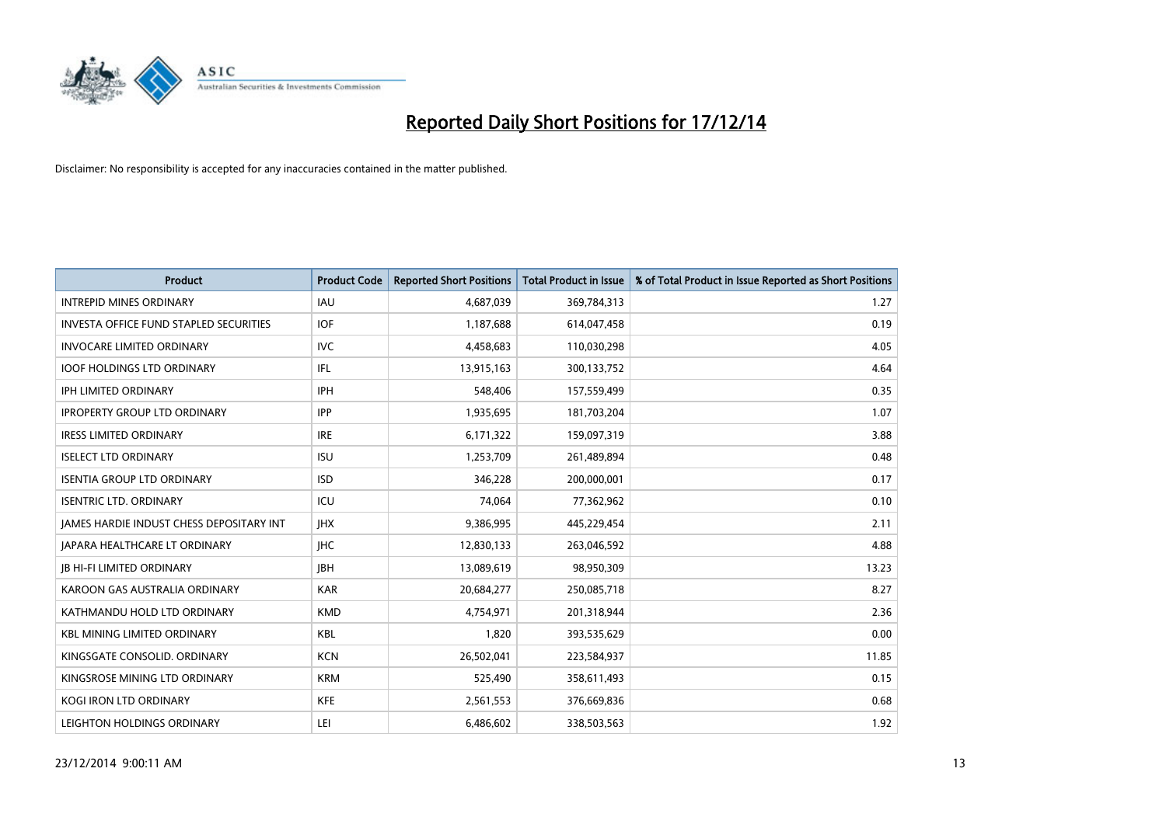

| <b>Product</b>                                | <b>Product Code</b> | <b>Reported Short Positions</b> | <b>Total Product in Issue</b> | % of Total Product in Issue Reported as Short Positions |
|-----------------------------------------------|---------------------|---------------------------------|-------------------------------|---------------------------------------------------------|
| <b>INTREPID MINES ORDINARY</b>                | <b>IAU</b>          | 4,687,039                       | 369,784,313                   | 1.27                                                    |
| <b>INVESTA OFFICE FUND STAPLED SECURITIES</b> | <b>IOF</b>          | 1,187,688                       | 614,047,458                   | 0.19                                                    |
| <b>INVOCARE LIMITED ORDINARY</b>              | <b>IVC</b>          | 4,458,683                       | 110,030,298                   | 4.05                                                    |
| <b>IOOF HOLDINGS LTD ORDINARY</b>             | IFL.                | 13,915,163                      | 300,133,752                   | 4.64                                                    |
| <b>IPH LIMITED ORDINARY</b>                   | <b>IPH</b>          | 548,406                         | 157,559,499                   | 0.35                                                    |
| <b>IPROPERTY GROUP LTD ORDINARY</b>           | <b>IPP</b>          | 1,935,695                       | 181,703,204                   | 1.07                                                    |
| <b>IRESS LIMITED ORDINARY</b>                 | <b>IRE</b>          | 6,171,322                       | 159,097,319                   | 3.88                                                    |
| <b>ISELECT LTD ORDINARY</b>                   | <b>ISU</b>          | 1,253,709                       | 261,489,894                   | 0.48                                                    |
| <b>ISENTIA GROUP LTD ORDINARY</b>             | <b>ISD</b>          | 346,228                         | 200,000,001                   | 0.17                                                    |
| <b>ISENTRIC LTD. ORDINARY</b>                 | ICU                 | 74,064                          | 77,362,962                    | 0.10                                                    |
| JAMES HARDIE INDUST CHESS DEPOSITARY INT      | <b>IHX</b>          | 9,386,995                       | 445,229,454                   | 2.11                                                    |
| <b>JAPARA HEALTHCARE LT ORDINARY</b>          | <b>IHC</b>          | 12,830,133                      | 263,046,592                   | 4.88                                                    |
| <b>JB HI-FI LIMITED ORDINARY</b>              | <b>IBH</b>          | 13,089,619                      | 98,950,309                    | 13.23                                                   |
| KAROON GAS AUSTRALIA ORDINARY                 | <b>KAR</b>          | 20,684,277                      | 250,085,718                   | 8.27                                                    |
| KATHMANDU HOLD LTD ORDINARY                   | <b>KMD</b>          | 4,754,971                       | 201,318,944                   | 2.36                                                    |
| <b>KBL MINING LIMITED ORDINARY</b>            | <b>KBL</b>          | 1,820                           | 393,535,629                   | 0.00                                                    |
| KINGSGATE CONSOLID. ORDINARY                  | <b>KCN</b>          | 26,502,041                      | 223,584,937                   | 11.85                                                   |
| KINGSROSE MINING LTD ORDINARY                 | <b>KRM</b>          | 525,490                         | 358,611,493                   | 0.15                                                    |
| <b>KOGI IRON LTD ORDINARY</b>                 | <b>KFE</b>          | 2,561,553                       | 376,669,836                   | 0.68                                                    |
| LEIGHTON HOLDINGS ORDINARY                    | LEI                 | 6,486,602                       | 338,503,563                   | 1.92                                                    |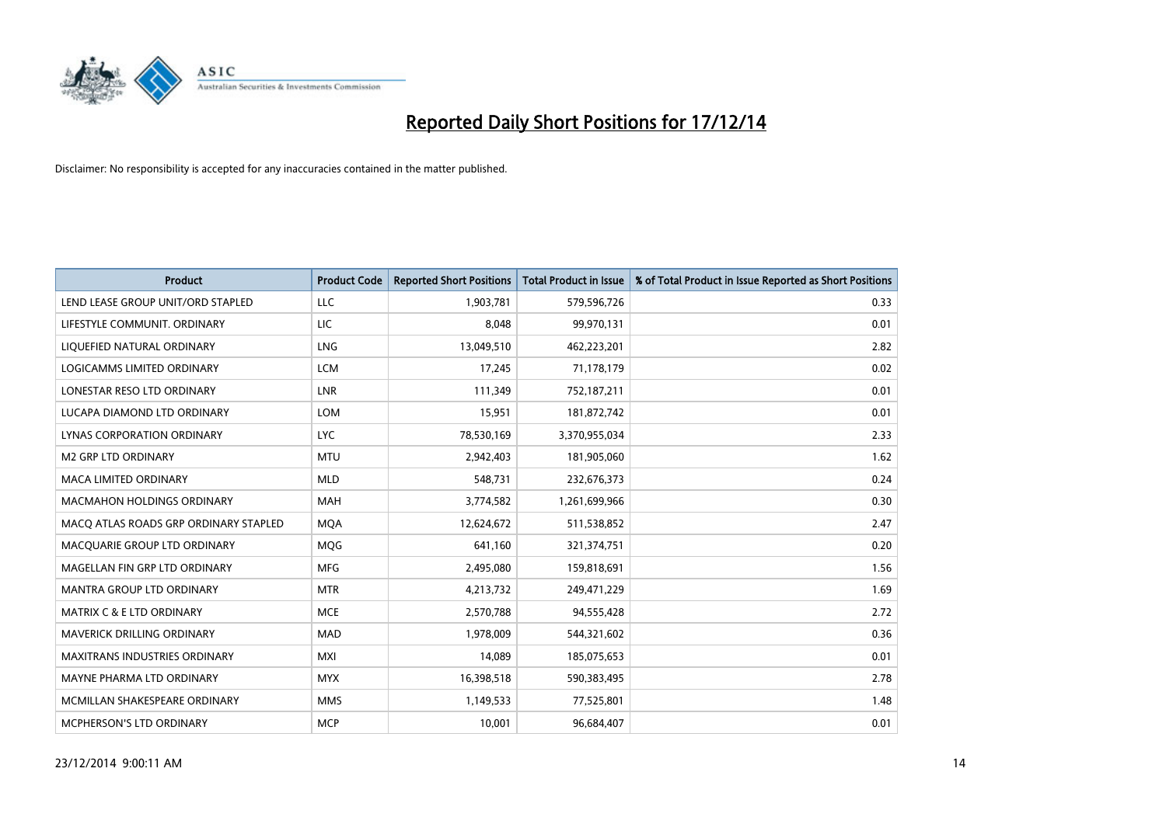

| <b>Product</b>                        | <b>Product Code</b> | <b>Reported Short Positions</b> | <b>Total Product in Issue</b> | % of Total Product in Issue Reported as Short Positions |
|---------------------------------------|---------------------|---------------------------------|-------------------------------|---------------------------------------------------------|
| LEND LEASE GROUP UNIT/ORD STAPLED     | <b>LLC</b>          | 1,903,781                       | 579,596,726                   | 0.33                                                    |
| LIFESTYLE COMMUNIT. ORDINARY          | LIC                 | 8,048                           | 99,970,131                    | 0.01                                                    |
| LIQUEFIED NATURAL ORDINARY            | <b>LNG</b>          | 13,049,510                      | 462,223,201                   | 2.82                                                    |
| LOGICAMMS LIMITED ORDINARY            | <b>LCM</b>          | 17,245                          | 71,178,179                    | 0.02                                                    |
| LONESTAR RESO LTD ORDINARY            | <b>LNR</b>          | 111,349                         | 752,187,211                   | 0.01                                                    |
| LUCAPA DIAMOND LTD ORDINARY           | <b>LOM</b>          | 15,951                          | 181,872,742                   | 0.01                                                    |
| LYNAS CORPORATION ORDINARY            | <b>LYC</b>          | 78,530,169                      | 3,370,955,034                 | 2.33                                                    |
| <b>M2 GRP LTD ORDINARY</b>            | <b>MTU</b>          | 2,942,403                       | 181,905,060                   | 1.62                                                    |
| <b>MACA LIMITED ORDINARY</b>          | <b>MLD</b>          | 548,731                         | 232,676,373                   | 0.24                                                    |
| <b>MACMAHON HOLDINGS ORDINARY</b>     | <b>MAH</b>          | 3,774,582                       | 1,261,699,966                 | 0.30                                                    |
| MACO ATLAS ROADS GRP ORDINARY STAPLED | <b>MOA</b>          | 12,624,672                      | 511,538,852                   | 2.47                                                    |
| MACQUARIE GROUP LTD ORDINARY          | MQG                 | 641,160                         | 321,374,751                   | 0.20                                                    |
| MAGELLAN FIN GRP LTD ORDINARY         | <b>MFG</b>          | 2,495,080                       | 159,818,691                   | 1.56                                                    |
| <b>MANTRA GROUP LTD ORDINARY</b>      | <b>MTR</b>          | 4,213,732                       | 249,471,229                   | 1.69                                                    |
| <b>MATRIX C &amp; E LTD ORDINARY</b>  | <b>MCE</b>          | 2,570,788                       | 94,555,428                    | 2.72                                                    |
| MAVERICK DRILLING ORDINARY            | MAD                 | 1,978,009                       | 544,321,602                   | 0.36                                                    |
| MAXITRANS INDUSTRIES ORDINARY         | <b>MXI</b>          | 14,089                          | 185,075,653                   | 0.01                                                    |
| MAYNE PHARMA LTD ORDINARY             | <b>MYX</b>          | 16,398,518                      | 590,383,495                   | 2.78                                                    |
| MCMILLAN SHAKESPEARE ORDINARY         | <b>MMS</b>          | 1,149,533                       | 77,525,801                    | 1.48                                                    |
| MCPHERSON'S LTD ORDINARY              | <b>MCP</b>          | 10,001                          | 96,684,407                    | 0.01                                                    |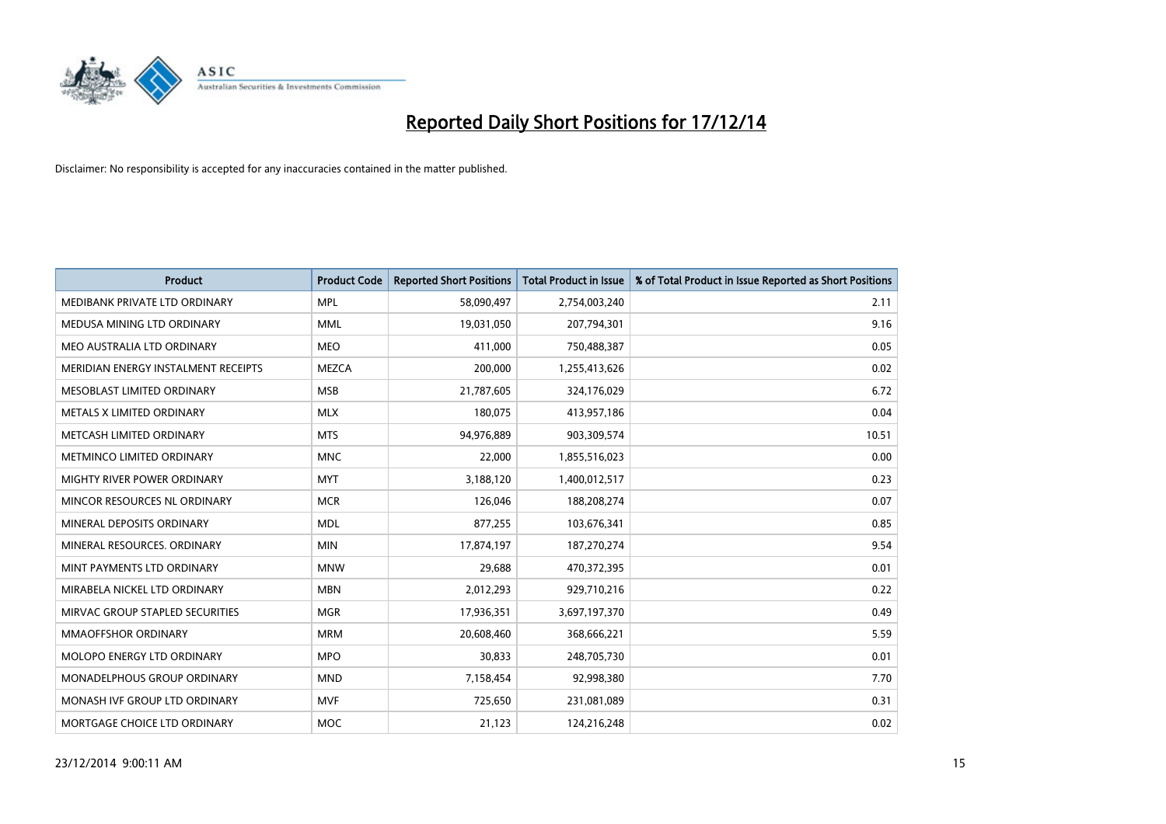

| <b>Product</b>                      | <b>Product Code</b> | <b>Reported Short Positions</b> | <b>Total Product in Issue</b> | % of Total Product in Issue Reported as Short Positions |
|-------------------------------------|---------------------|---------------------------------|-------------------------------|---------------------------------------------------------|
| MEDIBANK PRIVATE LTD ORDINARY       | <b>MPL</b>          | 58,090,497                      | 2,754,003,240                 | 2.11                                                    |
| MEDUSA MINING LTD ORDINARY          | <b>MML</b>          | 19,031,050                      | 207,794,301                   | 9.16                                                    |
| MEO AUSTRALIA LTD ORDINARY          | <b>MEO</b>          | 411,000                         | 750,488,387                   | 0.05                                                    |
| MERIDIAN ENERGY INSTALMENT RECEIPTS | <b>MEZCA</b>        | 200,000                         | 1,255,413,626                 | 0.02                                                    |
| MESOBLAST LIMITED ORDINARY          | <b>MSB</b>          | 21,787,605                      | 324,176,029                   | 6.72                                                    |
| METALS X LIMITED ORDINARY           | <b>MLX</b>          | 180,075                         | 413,957,186                   | 0.04                                                    |
| METCASH LIMITED ORDINARY            | <b>MTS</b>          | 94,976,889                      | 903,309,574                   | 10.51                                                   |
| METMINCO LIMITED ORDINARY           | <b>MNC</b>          | 22,000                          | 1,855,516,023                 | 0.00                                                    |
| MIGHTY RIVER POWER ORDINARY         | <b>MYT</b>          | 3,188,120                       | 1,400,012,517                 | 0.23                                                    |
| MINCOR RESOURCES NL ORDINARY        | <b>MCR</b>          | 126,046                         | 188,208,274                   | 0.07                                                    |
| MINERAL DEPOSITS ORDINARY           | <b>MDL</b>          | 877,255                         | 103,676,341                   | 0.85                                                    |
| MINERAL RESOURCES, ORDINARY         | <b>MIN</b>          | 17,874,197                      | 187,270,274                   | 9.54                                                    |
| MINT PAYMENTS LTD ORDINARY          | <b>MNW</b>          | 29,688                          | 470,372,395                   | 0.01                                                    |
| MIRABELA NICKEL LTD ORDINARY        | <b>MBN</b>          | 2,012,293                       | 929,710,216                   | 0.22                                                    |
| MIRVAC GROUP STAPLED SECURITIES     | <b>MGR</b>          | 17,936,351                      | 3,697,197,370                 | 0.49                                                    |
| MMAOFFSHOR ORDINARY                 | <b>MRM</b>          | 20,608,460                      | 368,666,221                   | 5.59                                                    |
| <b>MOLOPO ENERGY LTD ORDINARY</b>   | <b>MPO</b>          | 30,833                          | 248,705,730                   | 0.01                                                    |
| MONADELPHOUS GROUP ORDINARY         | <b>MND</b>          | 7,158,454                       | 92,998,380                    | 7.70                                                    |
| MONASH IVF GROUP LTD ORDINARY       | MVF                 | 725,650                         | 231,081,089                   | 0.31                                                    |
| MORTGAGE CHOICE LTD ORDINARY        | <b>MOC</b>          | 21,123                          | 124,216,248                   | 0.02                                                    |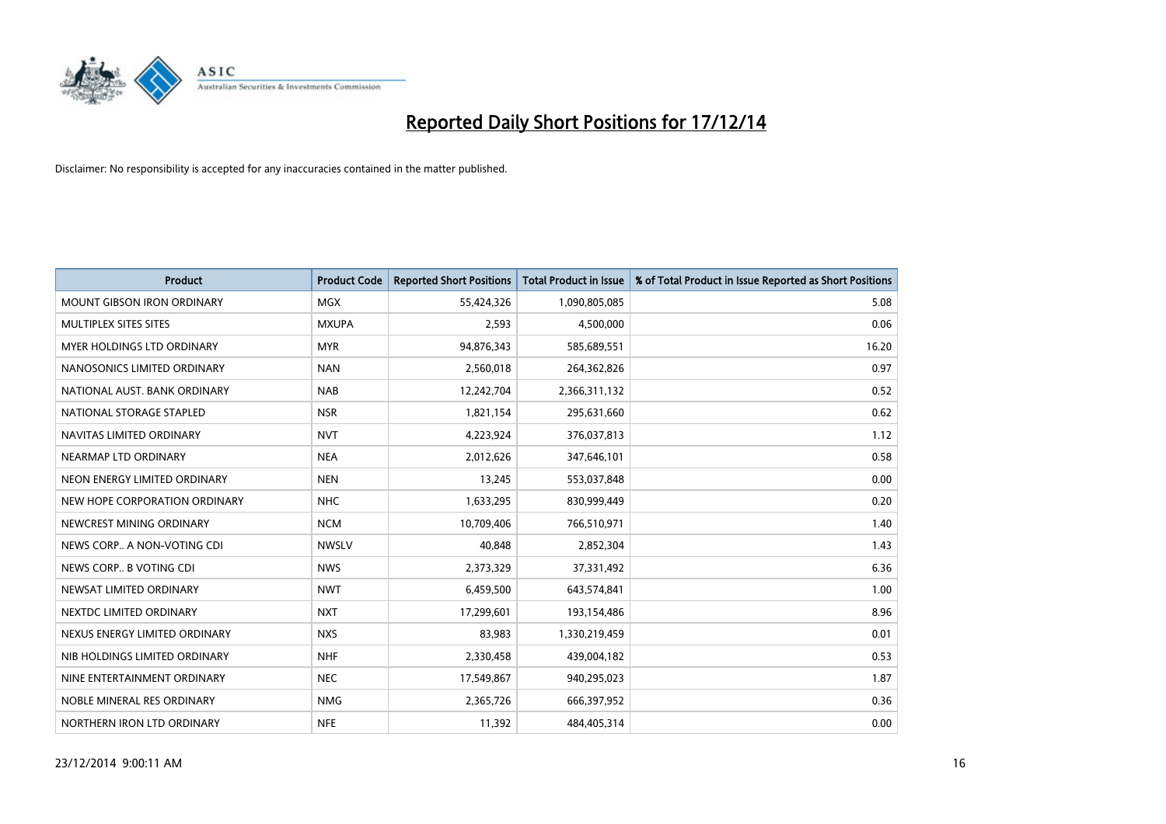

| <b>Product</b>                    | <b>Product Code</b> | <b>Reported Short Positions</b> | <b>Total Product in Issue</b> | % of Total Product in Issue Reported as Short Positions |
|-----------------------------------|---------------------|---------------------------------|-------------------------------|---------------------------------------------------------|
| <b>MOUNT GIBSON IRON ORDINARY</b> | <b>MGX</b>          | 55,424,326                      | 1,090,805,085                 | 5.08                                                    |
| MULTIPLEX SITES SITES             | <b>MXUPA</b>        | 2,593                           | 4,500,000                     | 0.06                                                    |
| MYER HOLDINGS LTD ORDINARY        | <b>MYR</b>          | 94,876,343                      | 585,689,551                   | 16.20                                                   |
| NANOSONICS LIMITED ORDINARY       | <b>NAN</b>          | 2,560,018                       | 264,362,826                   | 0.97                                                    |
| NATIONAL AUST. BANK ORDINARY      | <b>NAB</b>          | 12,242,704                      | 2,366,311,132                 | 0.52                                                    |
| NATIONAL STORAGE STAPLED          | <b>NSR</b>          | 1,821,154                       | 295,631,660                   | 0.62                                                    |
| NAVITAS LIMITED ORDINARY          | <b>NVT</b>          | 4,223,924                       | 376,037,813                   | 1.12                                                    |
| NEARMAP LTD ORDINARY              | <b>NEA</b>          | 2,012,626                       | 347,646,101                   | 0.58                                                    |
| NEON ENERGY LIMITED ORDINARY      | <b>NEN</b>          | 13,245                          | 553,037,848                   | 0.00                                                    |
| NEW HOPE CORPORATION ORDINARY     | <b>NHC</b>          | 1,633,295                       | 830,999,449                   | 0.20                                                    |
| NEWCREST MINING ORDINARY          | <b>NCM</b>          | 10,709,406                      | 766,510,971                   | 1.40                                                    |
| NEWS CORP A NON-VOTING CDI        | <b>NWSLV</b>        | 40,848                          | 2,852,304                     | 1.43                                                    |
| NEWS CORP B VOTING CDI            | <b>NWS</b>          | 2,373,329                       | 37,331,492                    | 6.36                                                    |
| NEWSAT LIMITED ORDINARY           | <b>NWT</b>          | 6,459,500                       | 643,574,841                   | 1.00                                                    |
| NEXTDC LIMITED ORDINARY           | <b>NXT</b>          | 17,299,601                      | 193,154,486                   | 8.96                                                    |
| NEXUS ENERGY LIMITED ORDINARY     | <b>NXS</b>          | 83,983                          | 1,330,219,459                 | 0.01                                                    |
| NIB HOLDINGS LIMITED ORDINARY     | <b>NHF</b>          | 2,330,458                       | 439,004,182                   | 0.53                                                    |
| NINE ENTERTAINMENT ORDINARY       | <b>NEC</b>          | 17,549,867                      | 940,295,023                   | 1.87                                                    |
| NOBLE MINERAL RES ORDINARY        | <b>NMG</b>          | 2,365,726                       | 666,397,952                   | 0.36                                                    |
| NORTHERN IRON LTD ORDINARY        | <b>NFE</b>          | 11,392                          | 484,405,314                   | 0.00                                                    |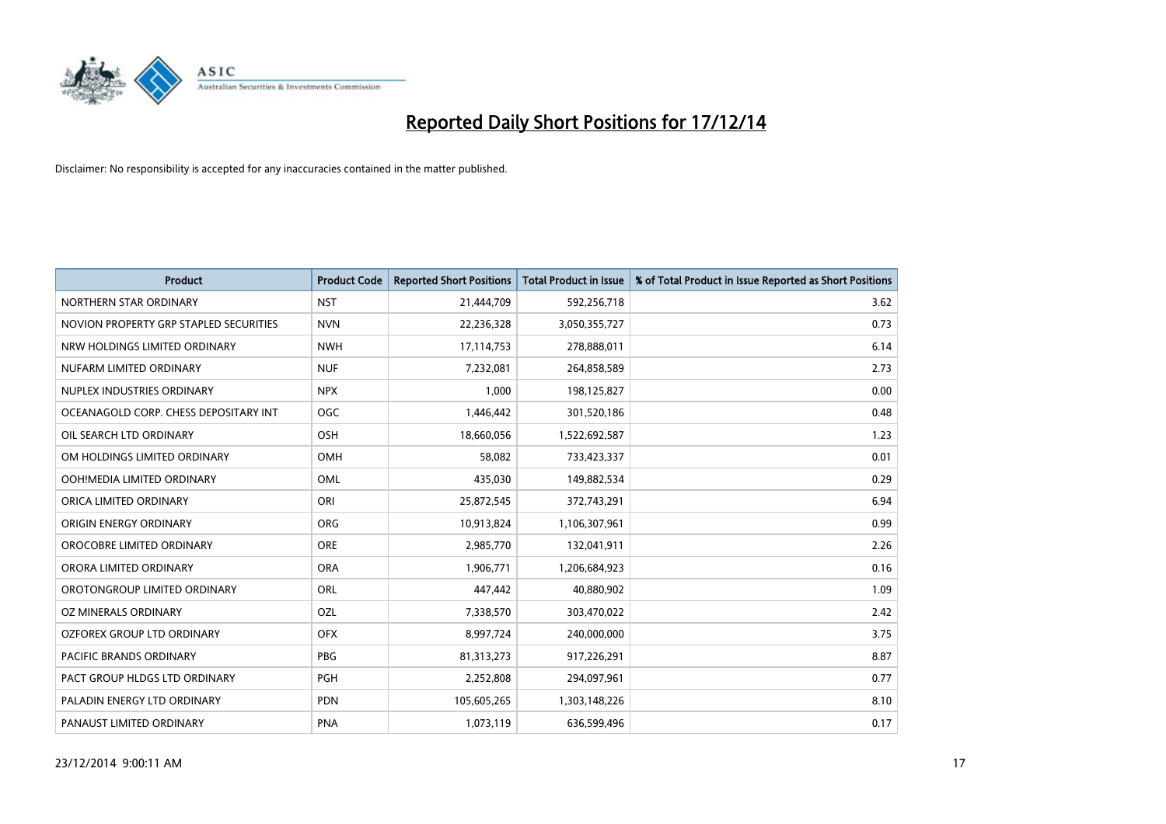

| Product                                | <b>Product Code</b> | <b>Reported Short Positions</b> | <b>Total Product in Issue</b> | % of Total Product in Issue Reported as Short Positions |
|----------------------------------------|---------------------|---------------------------------|-------------------------------|---------------------------------------------------------|
| NORTHERN STAR ORDINARY                 | <b>NST</b>          | 21,444,709                      | 592,256,718                   | 3.62                                                    |
| NOVION PROPERTY GRP STAPLED SECURITIES | <b>NVN</b>          | 22,236,328                      | 3,050,355,727                 | 0.73                                                    |
| NRW HOLDINGS LIMITED ORDINARY          | <b>NWH</b>          | 17,114,753                      | 278,888,011                   | 6.14                                                    |
| NUFARM LIMITED ORDINARY                | <b>NUF</b>          | 7,232,081                       | 264,858,589                   | 2.73                                                    |
| NUPLEX INDUSTRIES ORDINARY             | <b>NPX</b>          | 1,000                           | 198,125,827                   | 0.00                                                    |
| OCEANAGOLD CORP. CHESS DEPOSITARY INT  | <b>OGC</b>          | 1,446,442                       | 301,520,186                   | 0.48                                                    |
| OIL SEARCH LTD ORDINARY                | OSH                 | 18,660,056                      | 1,522,692,587                 | 1.23                                                    |
| OM HOLDINGS LIMITED ORDINARY           | <b>OMH</b>          | 58,082                          | 733,423,337                   | 0.01                                                    |
| OOH!MEDIA LIMITED ORDINARY             | OML                 | 435,030                         | 149,882,534                   | 0.29                                                    |
| ORICA LIMITED ORDINARY                 | ORI                 | 25,872,545                      | 372,743,291                   | 6.94                                                    |
| ORIGIN ENERGY ORDINARY                 | ORG                 | 10,913,824                      | 1,106,307,961                 | 0.99                                                    |
| OROCOBRE LIMITED ORDINARY              | <b>ORE</b>          | 2,985,770                       | 132,041,911                   | 2.26                                                    |
| ORORA LIMITED ORDINARY                 | <b>ORA</b>          | 1,906,771                       | 1,206,684,923                 | 0.16                                                    |
| OROTONGROUP LIMITED ORDINARY           | ORL                 | 447,442                         | 40,880,902                    | 1.09                                                    |
| OZ MINERALS ORDINARY                   | OZL                 | 7,338,570                       | 303,470,022                   | 2.42                                                    |
| OZFOREX GROUP LTD ORDINARY             | <b>OFX</b>          | 8,997,724                       | 240,000,000                   | 3.75                                                    |
| PACIFIC BRANDS ORDINARY                | PBG                 | 81,313,273                      | 917,226,291                   | 8.87                                                    |
| PACT GROUP HLDGS LTD ORDINARY          | <b>PGH</b>          | 2,252,808                       | 294,097,961                   | 0.77                                                    |
| PALADIN ENERGY LTD ORDINARY            | <b>PDN</b>          | 105,605,265                     | 1,303,148,226                 | 8.10                                                    |
| PANAUST LIMITED ORDINARY               | <b>PNA</b>          | 1,073,119                       | 636,599,496                   | 0.17                                                    |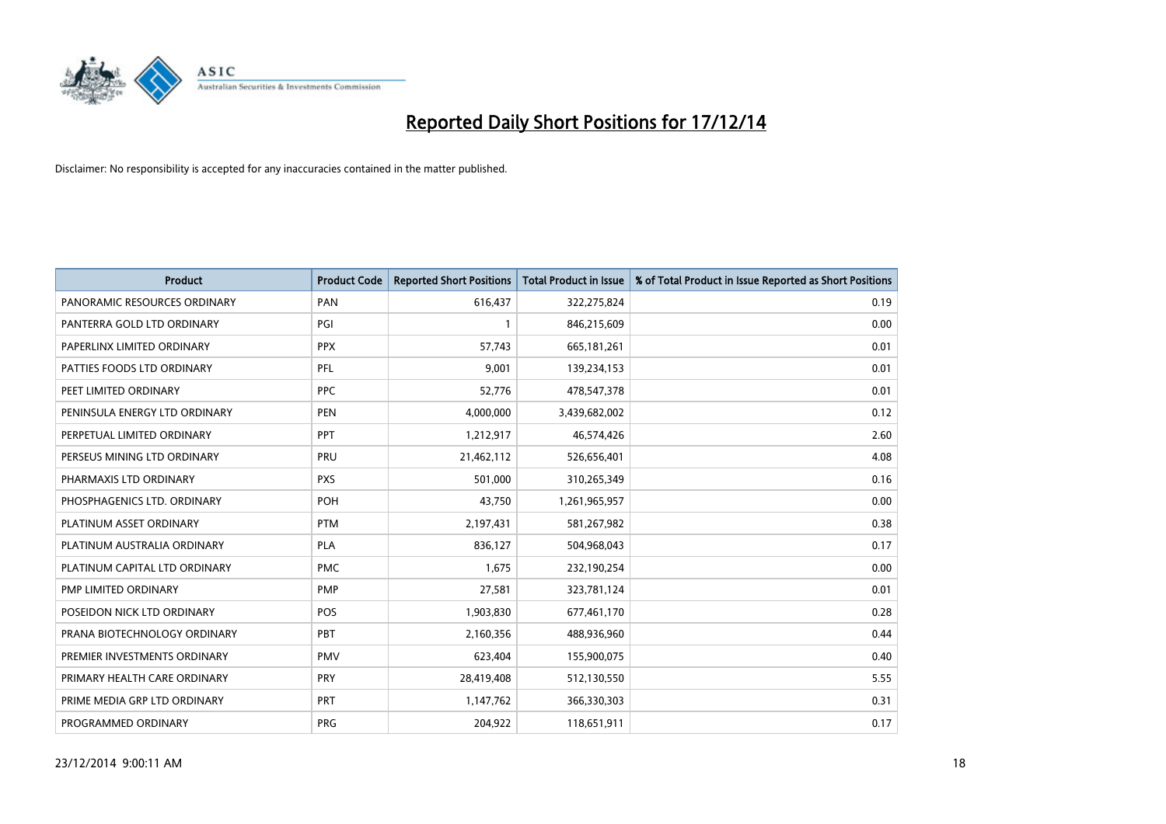

| <b>Product</b>                | <b>Product Code</b> | <b>Reported Short Positions</b> | Total Product in Issue | % of Total Product in Issue Reported as Short Positions |
|-------------------------------|---------------------|---------------------------------|------------------------|---------------------------------------------------------|
| PANORAMIC RESOURCES ORDINARY  | PAN                 | 616,437                         | 322,275,824            | 0.19                                                    |
| PANTERRA GOLD LTD ORDINARY    | PGI                 | $\mathbf{1}$                    | 846,215,609            | 0.00                                                    |
| PAPERLINX LIMITED ORDINARY    | <b>PPX</b>          | 57,743                          | 665, 181, 261          | 0.01                                                    |
| PATTIES FOODS LTD ORDINARY    | PFL                 | 9,001                           | 139,234,153            | 0.01                                                    |
| PEET LIMITED ORDINARY         | <b>PPC</b>          | 52,776                          | 478,547,378            | 0.01                                                    |
| PENINSULA ENERGY LTD ORDINARY | <b>PEN</b>          | 4,000,000                       | 3,439,682,002          | 0.12                                                    |
| PERPETUAL LIMITED ORDINARY    | <b>PPT</b>          | 1,212,917                       | 46,574,426             | 2.60                                                    |
| PERSEUS MINING LTD ORDINARY   | PRU                 | 21,462,112                      | 526,656,401            | 4.08                                                    |
| PHARMAXIS LTD ORDINARY        | <b>PXS</b>          | 501,000                         | 310,265,349            | 0.16                                                    |
| PHOSPHAGENICS LTD. ORDINARY   | POH                 | 43,750                          | 1,261,965,957          | 0.00                                                    |
| PLATINUM ASSET ORDINARY       | <b>PTM</b>          | 2,197,431                       | 581,267,982            | 0.38                                                    |
| PLATINUM AUSTRALIA ORDINARY   | <b>PLA</b>          | 836,127                         | 504,968,043            | 0.17                                                    |
| PLATINUM CAPITAL LTD ORDINARY | <b>PMC</b>          | 1,675                           | 232,190,254            | 0.00                                                    |
| PMP LIMITED ORDINARY          | <b>PMP</b>          | 27,581                          | 323,781,124            | 0.01                                                    |
| POSEIDON NICK LTD ORDINARY    | <b>POS</b>          | 1,903,830                       | 677,461,170            | 0.28                                                    |
| PRANA BIOTECHNOLOGY ORDINARY  | <b>PBT</b>          | 2,160,356                       | 488,936,960            | 0.44                                                    |
| PREMIER INVESTMENTS ORDINARY  | <b>PMV</b>          | 623,404                         | 155,900,075            | 0.40                                                    |
| PRIMARY HEALTH CARE ORDINARY  | <b>PRY</b>          | 28,419,408                      | 512,130,550            | 5.55                                                    |
| PRIME MEDIA GRP LTD ORDINARY  | <b>PRT</b>          | 1,147,762                       | 366,330,303            | 0.31                                                    |
| PROGRAMMED ORDINARY           | <b>PRG</b>          | 204,922                         | 118,651,911            | 0.17                                                    |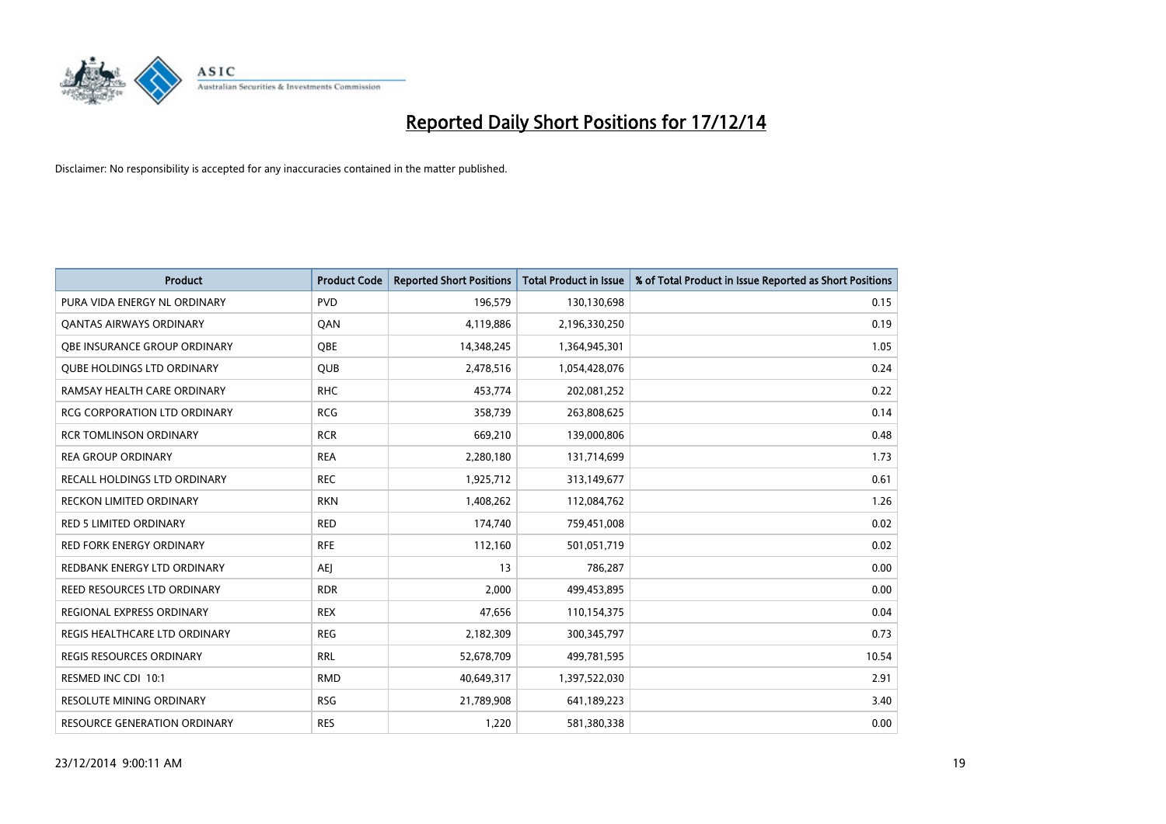

| <b>Product</b>                      | <b>Product Code</b> | <b>Reported Short Positions</b> | <b>Total Product in Issue</b> | % of Total Product in Issue Reported as Short Positions |
|-------------------------------------|---------------------|---------------------------------|-------------------------------|---------------------------------------------------------|
| PURA VIDA ENERGY NL ORDINARY        | <b>PVD</b>          | 196,579                         | 130,130,698                   | 0.15                                                    |
| <b>QANTAS AIRWAYS ORDINARY</b>      | QAN                 | 4,119,886                       | 2,196,330,250                 | 0.19                                                    |
| OBE INSURANCE GROUP ORDINARY        | OBE                 | 14,348,245                      | 1,364,945,301                 | 1.05                                                    |
| <b>QUBE HOLDINGS LTD ORDINARY</b>   | QUB                 | 2,478,516                       | 1,054,428,076                 | 0.24                                                    |
| RAMSAY HEALTH CARE ORDINARY         | <b>RHC</b>          | 453,774                         | 202,081,252                   | 0.22                                                    |
| <b>RCG CORPORATION LTD ORDINARY</b> | <b>RCG</b>          | 358,739                         | 263,808,625                   | 0.14                                                    |
| <b>RCR TOMLINSON ORDINARY</b>       | <b>RCR</b>          | 669,210                         | 139,000,806                   | 0.48                                                    |
| <b>REA GROUP ORDINARY</b>           | <b>REA</b>          | 2,280,180                       | 131,714,699                   | 1.73                                                    |
| RECALL HOLDINGS LTD ORDINARY        | <b>REC</b>          | 1,925,712                       | 313,149,677                   | 0.61                                                    |
| <b>RECKON LIMITED ORDINARY</b>      | <b>RKN</b>          | 1,408,262                       | 112,084,762                   | 1.26                                                    |
| RED 5 LIMITED ORDINARY              | <b>RED</b>          | 174,740                         | 759,451,008                   | 0.02                                                    |
| <b>RED FORK ENERGY ORDINARY</b>     | <b>RFE</b>          | 112,160                         | 501,051,719                   | 0.02                                                    |
| REDBANK ENERGY LTD ORDINARY         | <b>AEJ</b>          | 13                              | 786,287                       | 0.00                                                    |
| REED RESOURCES LTD ORDINARY         | <b>RDR</b>          | 2,000                           | 499,453,895                   | 0.00                                                    |
| REGIONAL EXPRESS ORDINARY           | <b>REX</b>          | 47,656                          | 110,154,375                   | 0.04                                                    |
| REGIS HEALTHCARE LTD ORDINARY       | <b>REG</b>          | 2,182,309                       | 300,345,797                   | 0.73                                                    |
| REGIS RESOURCES ORDINARY            | <b>RRL</b>          | 52,678,709                      | 499,781,595                   | 10.54                                                   |
| RESMED INC CDI 10:1                 | <b>RMD</b>          | 40,649,317                      | 1,397,522,030                 | 2.91                                                    |
| <b>RESOLUTE MINING ORDINARY</b>     | <b>RSG</b>          | 21,789,908                      | 641,189,223                   | 3.40                                                    |
| RESOURCE GENERATION ORDINARY        | <b>RES</b>          | 1,220                           | 581,380,338                   | 0.00                                                    |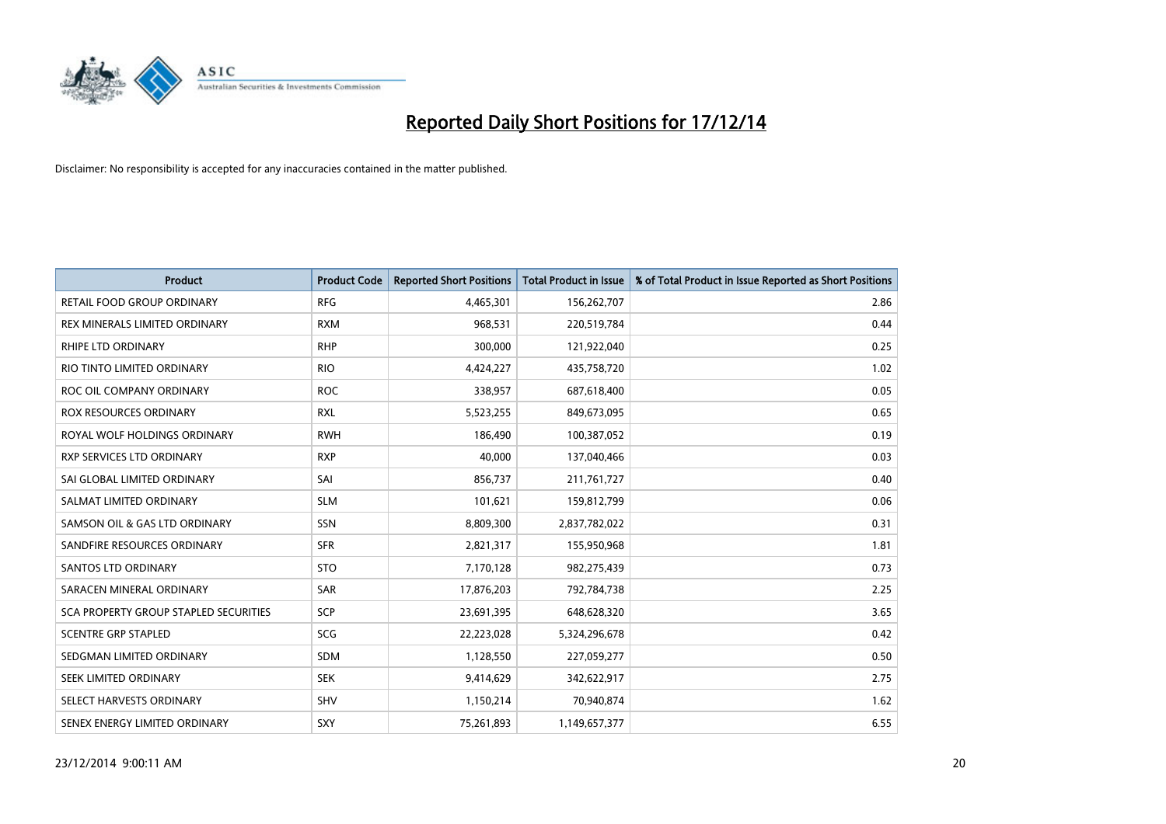

| <b>Product</b>                               | <b>Product Code</b> | <b>Reported Short Positions</b> | <b>Total Product in Issue</b> | % of Total Product in Issue Reported as Short Positions |
|----------------------------------------------|---------------------|---------------------------------|-------------------------------|---------------------------------------------------------|
| <b>RETAIL FOOD GROUP ORDINARY</b>            | <b>RFG</b>          | 4,465,301                       | 156,262,707                   | 2.86                                                    |
| REX MINERALS LIMITED ORDINARY                | <b>RXM</b>          | 968,531                         | 220,519,784                   | 0.44                                                    |
| <b>RHIPE LTD ORDINARY</b>                    | <b>RHP</b>          | 300,000                         | 121,922,040                   | 0.25                                                    |
| RIO TINTO LIMITED ORDINARY                   | <b>RIO</b>          | 4,424,227                       | 435,758,720                   | 1.02                                                    |
| ROC OIL COMPANY ORDINARY                     | <b>ROC</b>          | 338,957                         | 687,618,400                   | 0.05                                                    |
| <b>ROX RESOURCES ORDINARY</b>                | <b>RXL</b>          | 5,523,255                       | 849,673,095                   | 0.65                                                    |
| ROYAL WOLF HOLDINGS ORDINARY                 | <b>RWH</b>          | 186,490                         | 100,387,052                   | 0.19                                                    |
| RXP SERVICES LTD ORDINARY                    | <b>RXP</b>          | 40,000                          | 137,040,466                   | 0.03                                                    |
| SAI GLOBAL LIMITED ORDINARY                  | SAI                 | 856,737                         | 211,761,727                   | 0.40                                                    |
| SALMAT LIMITED ORDINARY                      | <b>SLM</b>          | 101,621                         | 159,812,799                   | 0.06                                                    |
| SAMSON OIL & GAS LTD ORDINARY                | SSN                 | 8,809,300                       | 2,837,782,022                 | 0.31                                                    |
| SANDFIRE RESOURCES ORDINARY                  | <b>SFR</b>          | 2,821,317                       | 155,950,968                   | 1.81                                                    |
| <b>SANTOS LTD ORDINARY</b>                   | <b>STO</b>          | 7,170,128                       | 982,275,439                   | 0.73                                                    |
| SARACEN MINERAL ORDINARY                     | SAR                 | 17,876,203                      | 792,784,738                   | 2.25                                                    |
| <b>SCA PROPERTY GROUP STAPLED SECURITIES</b> | SCP                 | 23,691,395                      | 648,628,320                   | 3.65                                                    |
| <b>SCENTRE GRP STAPLED</b>                   | <b>SCG</b>          | 22,223,028                      | 5,324,296,678                 | 0.42                                                    |
| SEDGMAN LIMITED ORDINARY                     | SDM                 | 1,128,550                       | 227,059,277                   | 0.50                                                    |
| SEEK LIMITED ORDINARY                        | <b>SEK</b>          | 9,414,629                       | 342,622,917                   | 2.75                                                    |
| SELECT HARVESTS ORDINARY                     | SHV                 | 1,150,214                       | 70,940,874                    | 1.62                                                    |
| SENEX ENERGY LIMITED ORDINARY                | SXY                 | 75,261,893                      | 1,149,657,377                 | 6.55                                                    |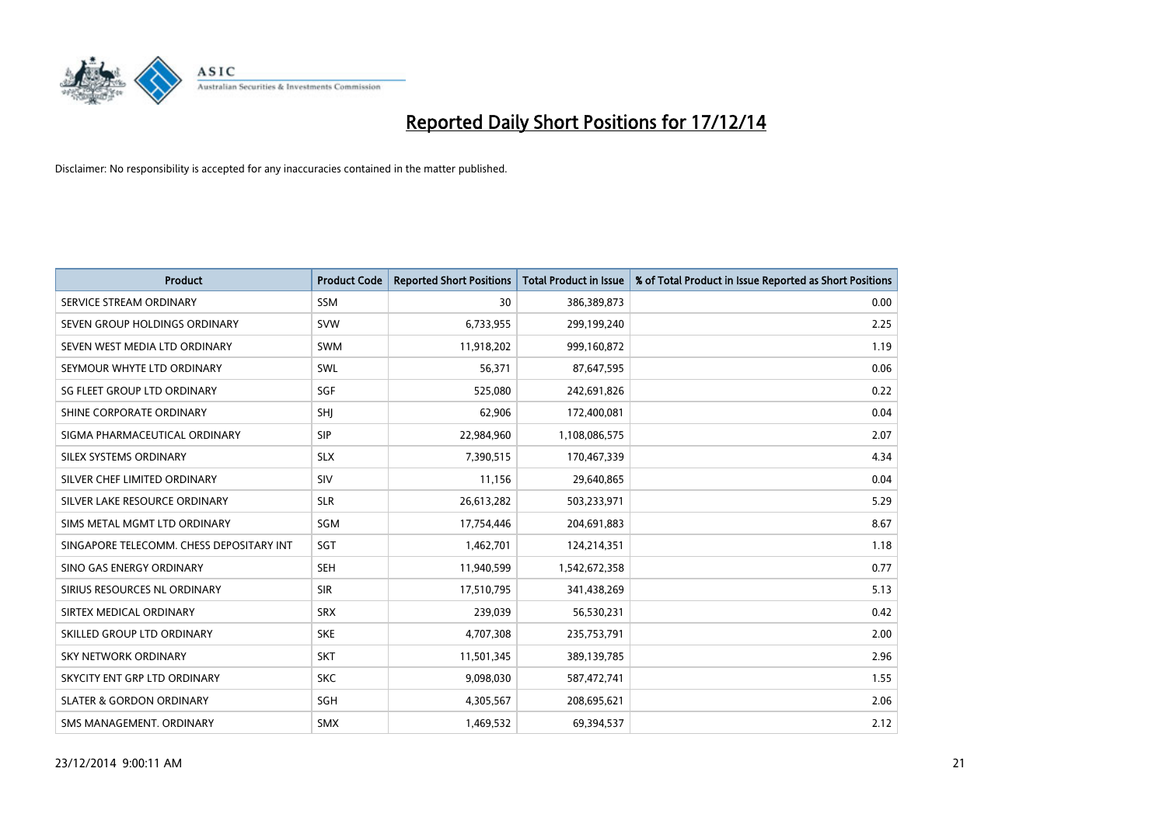

| Product                                  | <b>Product Code</b> | <b>Reported Short Positions</b> | <b>Total Product in Issue</b> | % of Total Product in Issue Reported as Short Positions |
|------------------------------------------|---------------------|---------------------------------|-------------------------------|---------------------------------------------------------|
| SERVICE STREAM ORDINARY                  | SSM                 | 30                              | 386,389,873                   | 0.00                                                    |
| SEVEN GROUP HOLDINGS ORDINARY            | <b>SVW</b>          | 6,733,955                       | 299,199,240                   | 2.25                                                    |
| SEVEN WEST MEDIA LTD ORDINARY            | SWM                 | 11,918,202                      | 999,160,872                   | 1.19                                                    |
| SEYMOUR WHYTE LTD ORDINARY               | <b>SWL</b>          | 56,371                          | 87,647,595                    | 0.06                                                    |
| SG FLEET GROUP LTD ORDINARY              | SGF                 | 525,080                         | 242,691,826                   | 0.22                                                    |
| SHINE CORPORATE ORDINARY                 | SHJ                 | 62,906                          | 172,400,081                   | 0.04                                                    |
| SIGMA PHARMACEUTICAL ORDINARY            | <b>SIP</b>          | 22,984,960                      | 1,108,086,575                 | 2.07                                                    |
| SILEX SYSTEMS ORDINARY                   | <b>SLX</b>          | 7,390,515                       | 170,467,339                   | 4.34                                                    |
| SILVER CHEF LIMITED ORDINARY             | SIV                 | 11.156                          | 29,640,865                    | 0.04                                                    |
| SILVER LAKE RESOURCE ORDINARY            | <b>SLR</b>          | 26,613,282                      | 503,233,971                   | 5.29                                                    |
| SIMS METAL MGMT LTD ORDINARY             | SGM                 | 17,754,446                      | 204,691,883                   | 8.67                                                    |
| SINGAPORE TELECOMM. CHESS DEPOSITARY INT | SGT                 | 1,462,701                       | 124,214,351                   | 1.18                                                    |
| SINO GAS ENERGY ORDINARY                 | <b>SEH</b>          | 11,940,599                      | 1,542,672,358                 | 0.77                                                    |
| SIRIUS RESOURCES NL ORDINARY             | <b>SIR</b>          | 17,510,795                      | 341,438,269                   | 5.13                                                    |
| SIRTEX MEDICAL ORDINARY                  | <b>SRX</b>          | 239,039                         | 56,530,231                    | 0.42                                                    |
| SKILLED GROUP LTD ORDINARY               | <b>SKE</b>          | 4,707,308                       | 235,753,791                   | 2.00                                                    |
| <b>SKY NETWORK ORDINARY</b>              | <b>SKT</b>          | 11,501,345                      | 389,139,785                   | 2.96                                                    |
| SKYCITY ENT GRP LTD ORDINARY             | <b>SKC</b>          | 9,098,030                       | 587,472,741                   | 1.55                                                    |
| <b>SLATER &amp; GORDON ORDINARY</b>      | <b>SGH</b>          | 4,305,567                       | 208,695,621                   | 2.06                                                    |
| SMS MANAGEMENT, ORDINARY                 | <b>SMX</b>          | 1,469,532                       | 69,394,537                    | 2.12                                                    |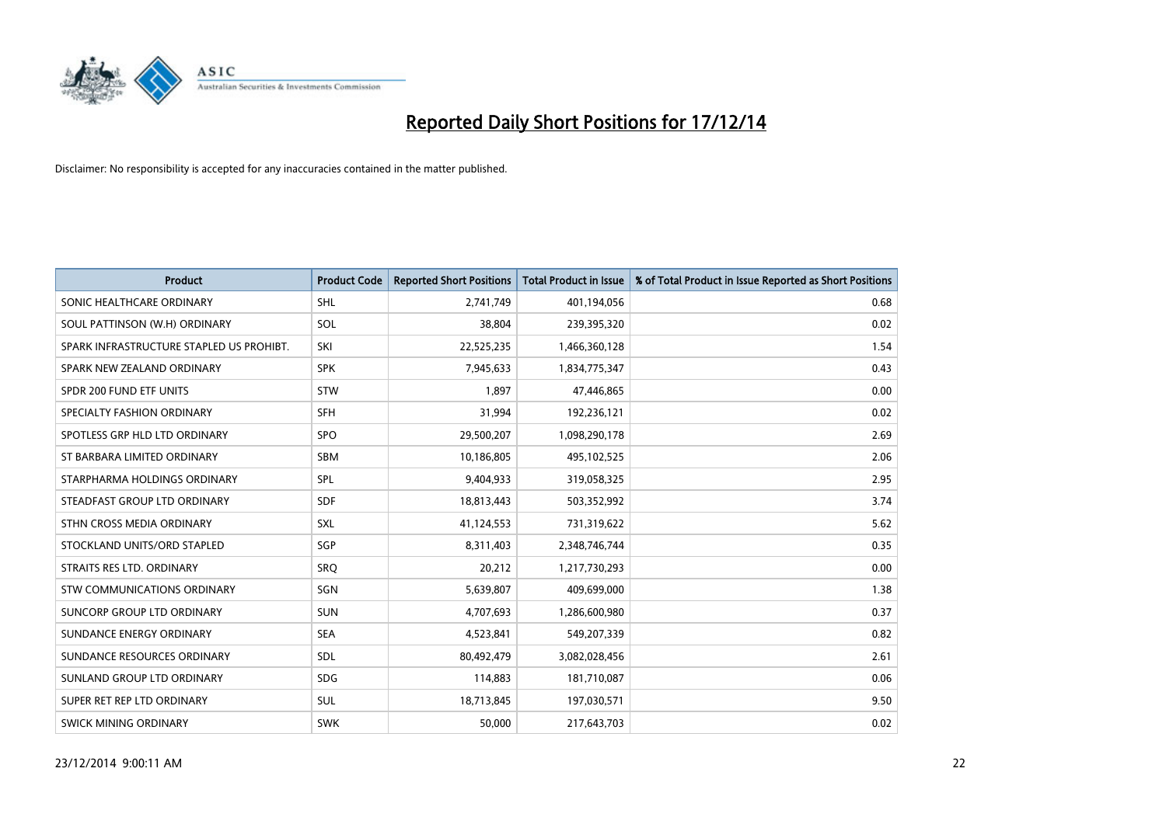

| <b>Product</b>                           | <b>Product Code</b> | <b>Reported Short Positions</b> | <b>Total Product in Issue</b> | % of Total Product in Issue Reported as Short Positions |
|------------------------------------------|---------------------|---------------------------------|-------------------------------|---------------------------------------------------------|
| SONIC HEALTHCARE ORDINARY                | <b>SHL</b>          | 2,741,749                       | 401,194,056                   | 0.68                                                    |
| SOUL PATTINSON (W.H) ORDINARY            | SOL                 | 38.804                          | 239,395,320                   | 0.02                                                    |
| SPARK INFRASTRUCTURE STAPLED US PROHIBT. | SKI                 | 22,525,235                      | 1,466,360,128                 | 1.54                                                    |
| SPARK NEW ZEALAND ORDINARY               | <b>SPK</b>          | 7,945,633                       | 1,834,775,347                 | 0.43                                                    |
| SPDR 200 FUND ETF UNITS                  | <b>STW</b>          | 1,897                           | 47,446,865                    | 0.00                                                    |
| SPECIALTY FASHION ORDINARY               | <b>SFH</b>          | 31,994                          | 192,236,121                   | 0.02                                                    |
| SPOTLESS GRP HLD LTD ORDINARY            | SPO                 | 29,500,207                      | 1,098,290,178                 | 2.69                                                    |
| ST BARBARA LIMITED ORDINARY              | SBM                 | 10,186,805                      | 495,102,525                   | 2.06                                                    |
| STARPHARMA HOLDINGS ORDINARY             | SPL                 | 9,404,933                       | 319,058,325                   | 2.95                                                    |
| STEADFAST GROUP LTD ORDINARY             | <b>SDF</b>          | 18,813,443                      | 503,352,992                   | 3.74                                                    |
| STHN CROSS MEDIA ORDINARY                | SXL                 | 41,124,553                      | 731,319,622                   | 5.62                                                    |
| STOCKLAND UNITS/ORD STAPLED              | SGP                 | 8,311,403                       | 2,348,746,744                 | 0.35                                                    |
| STRAITS RES LTD. ORDINARY                | SRQ                 | 20,212                          | 1,217,730,293                 | 0.00                                                    |
| STW COMMUNICATIONS ORDINARY              | SGN                 | 5,639,807                       | 409,699,000                   | 1.38                                                    |
| SUNCORP GROUP LTD ORDINARY               | <b>SUN</b>          | 4,707,693                       | 1,286,600,980                 | 0.37                                                    |
| SUNDANCE ENERGY ORDINARY                 | <b>SEA</b>          | 4,523,841                       | 549,207,339                   | 0.82                                                    |
| SUNDANCE RESOURCES ORDINARY              | <b>SDL</b>          | 80,492,479                      | 3,082,028,456                 | 2.61                                                    |
| SUNLAND GROUP LTD ORDINARY               | <b>SDG</b>          | 114,883                         | 181,710,087                   | 0.06                                                    |
| SUPER RET REP LTD ORDINARY               | <b>SUL</b>          | 18,713,845                      | 197,030,571                   | 9.50                                                    |
| <b>SWICK MINING ORDINARY</b>             | <b>SWK</b>          | 50,000                          | 217,643,703                   | 0.02                                                    |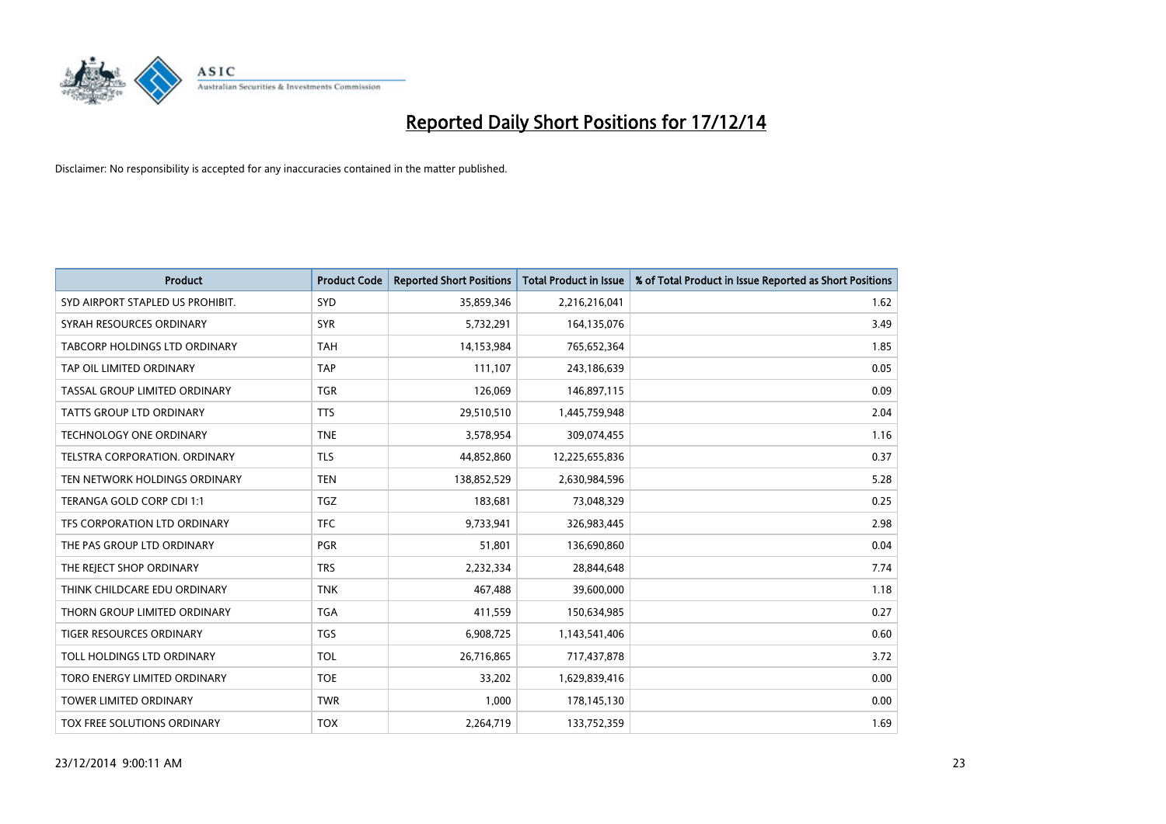

| <b>Product</b>                       | <b>Product Code</b> | <b>Reported Short Positions</b> | <b>Total Product in Issue</b> | % of Total Product in Issue Reported as Short Positions |
|--------------------------------------|---------------------|---------------------------------|-------------------------------|---------------------------------------------------------|
| SYD AIRPORT STAPLED US PROHIBIT.     | <b>SYD</b>          | 35,859,346                      | 2,216,216,041                 | 1.62                                                    |
| SYRAH RESOURCES ORDINARY             | <b>SYR</b>          | 5,732,291                       | 164,135,076                   | 3.49                                                    |
| <b>TABCORP HOLDINGS LTD ORDINARY</b> | <b>TAH</b>          | 14,153,984                      | 765,652,364                   | 1.85                                                    |
| TAP OIL LIMITED ORDINARY             | <b>TAP</b>          | 111,107                         | 243,186,639                   | 0.05                                                    |
| TASSAL GROUP LIMITED ORDINARY        | <b>TGR</b>          | 126,069                         | 146,897,115                   | 0.09                                                    |
| TATTS GROUP LTD ORDINARY             | <b>TTS</b>          | 29,510,510                      | 1,445,759,948                 | 2.04                                                    |
| <b>TECHNOLOGY ONE ORDINARY</b>       | <b>TNE</b>          | 3,578,954                       | 309,074,455                   | 1.16                                                    |
| TELSTRA CORPORATION, ORDINARY        | <b>TLS</b>          | 44,852,860                      | 12,225,655,836                | 0.37                                                    |
| TEN NETWORK HOLDINGS ORDINARY        | <b>TEN</b>          | 138,852,529                     | 2,630,984,596                 | 5.28                                                    |
| TERANGA GOLD CORP CDI 1:1            | <b>TGZ</b>          | 183,681                         | 73,048,329                    | 0.25                                                    |
| TFS CORPORATION LTD ORDINARY         | <b>TFC</b>          | 9,733,941                       | 326,983,445                   | 2.98                                                    |
| THE PAS GROUP LTD ORDINARY           | <b>PGR</b>          | 51,801                          | 136,690,860                   | 0.04                                                    |
| THE REJECT SHOP ORDINARY             | <b>TRS</b>          | 2,232,334                       | 28,844,648                    | 7.74                                                    |
| THINK CHILDCARE EDU ORDINARY         | <b>TNK</b>          | 467,488                         | 39,600,000                    | 1.18                                                    |
| THORN GROUP LIMITED ORDINARY         | <b>TGA</b>          | 411,559                         | 150,634,985                   | 0.27                                                    |
| TIGER RESOURCES ORDINARY             | <b>TGS</b>          | 6,908,725                       | 1,143,541,406                 | 0.60                                                    |
| TOLL HOLDINGS LTD ORDINARY           | <b>TOL</b>          | 26,716,865                      | 717,437,878                   | 3.72                                                    |
| TORO ENERGY LIMITED ORDINARY         | <b>TOE</b>          | 33,202                          | 1,629,839,416                 | 0.00                                                    |
| <b>TOWER LIMITED ORDINARY</b>        | <b>TWR</b>          | 1,000                           | 178,145,130                   | 0.00                                                    |
| TOX FREE SOLUTIONS ORDINARY          | <b>TOX</b>          | 2,264,719                       | 133,752,359                   | 1.69                                                    |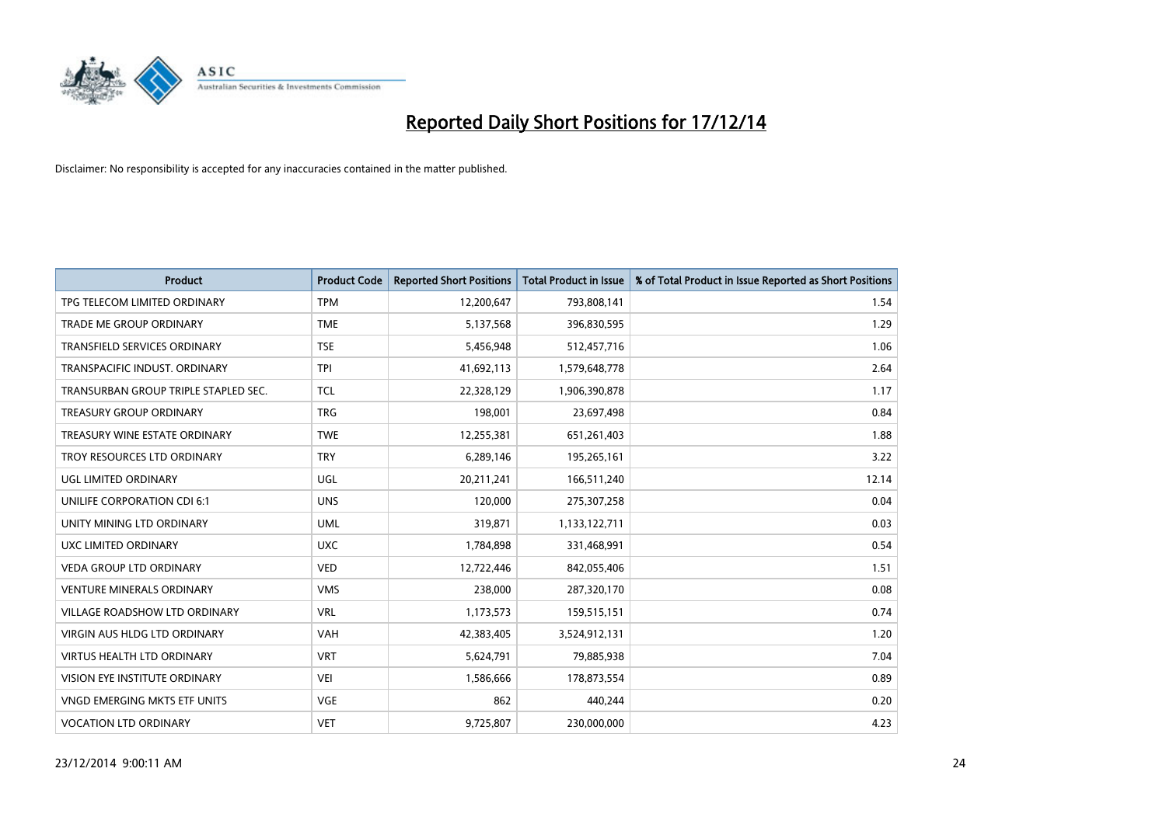

| <b>Product</b>                       | <b>Product Code</b> | <b>Reported Short Positions</b> | <b>Total Product in Issue</b> | % of Total Product in Issue Reported as Short Positions |
|--------------------------------------|---------------------|---------------------------------|-------------------------------|---------------------------------------------------------|
| TPG TELECOM LIMITED ORDINARY         | <b>TPM</b>          | 12,200,647                      | 793,808,141                   | 1.54                                                    |
| TRADE ME GROUP ORDINARY              | <b>TME</b>          | 5,137,568                       | 396,830,595                   | 1.29                                                    |
| <b>TRANSFIELD SERVICES ORDINARY</b>  | <b>TSE</b>          | 5,456,948                       | 512,457,716                   | 1.06                                                    |
| TRANSPACIFIC INDUST. ORDINARY        | <b>TPI</b>          | 41,692,113                      | 1,579,648,778                 | 2.64                                                    |
| TRANSURBAN GROUP TRIPLE STAPLED SEC. | <b>TCL</b>          | 22,328,129                      | 1,906,390,878                 | 1.17                                                    |
| <b>TREASURY GROUP ORDINARY</b>       | <b>TRG</b>          | 198,001                         | 23,697,498                    | 0.84                                                    |
| TREASURY WINE ESTATE ORDINARY        | <b>TWE</b>          | 12,255,381                      | 651,261,403                   | 1.88                                                    |
| TROY RESOURCES LTD ORDINARY          | <b>TRY</b>          | 6,289,146                       | 195,265,161                   | 3.22                                                    |
| <b>UGL LIMITED ORDINARY</b>          | UGL                 | 20,211,241                      | 166,511,240                   | 12.14                                                   |
| UNILIFE CORPORATION CDI 6:1          | <b>UNS</b>          | 120,000                         | 275,307,258                   | 0.04                                                    |
| UNITY MINING LTD ORDINARY            | <b>UML</b>          | 319,871                         | 1,133,122,711                 | 0.03                                                    |
| UXC LIMITED ORDINARY                 | <b>UXC</b>          | 1,784,898                       | 331,468,991                   | 0.54                                                    |
| <b>VEDA GROUP LTD ORDINARY</b>       | <b>VED</b>          | 12,722,446                      | 842,055,406                   | 1.51                                                    |
| <b>VENTURE MINERALS ORDINARY</b>     | <b>VMS</b>          | 238,000                         | 287,320,170                   | 0.08                                                    |
| <b>VILLAGE ROADSHOW LTD ORDINARY</b> | <b>VRL</b>          | 1,173,573                       | 159,515,151                   | 0.74                                                    |
| VIRGIN AUS HLDG LTD ORDINARY         | <b>VAH</b>          | 42,383,405                      | 3,524,912,131                 | 1.20                                                    |
| VIRTUS HEALTH LTD ORDINARY           | <b>VRT</b>          | 5,624,791                       | 79,885,938                    | 7.04                                                    |
| VISION EYE INSTITUTE ORDINARY        | <b>VEI</b>          | 1,586,666                       | 178,873,554                   | 0.89                                                    |
| VNGD EMERGING MKTS ETF UNITS         | <b>VGE</b>          | 862                             | 440,244                       | 0.20                                                    |
| <b>VOCATION LTD ORDINARY</b>         | <b>VET</b>          | 9,725,807                       | 230,000,000                   | 4.23                                                    |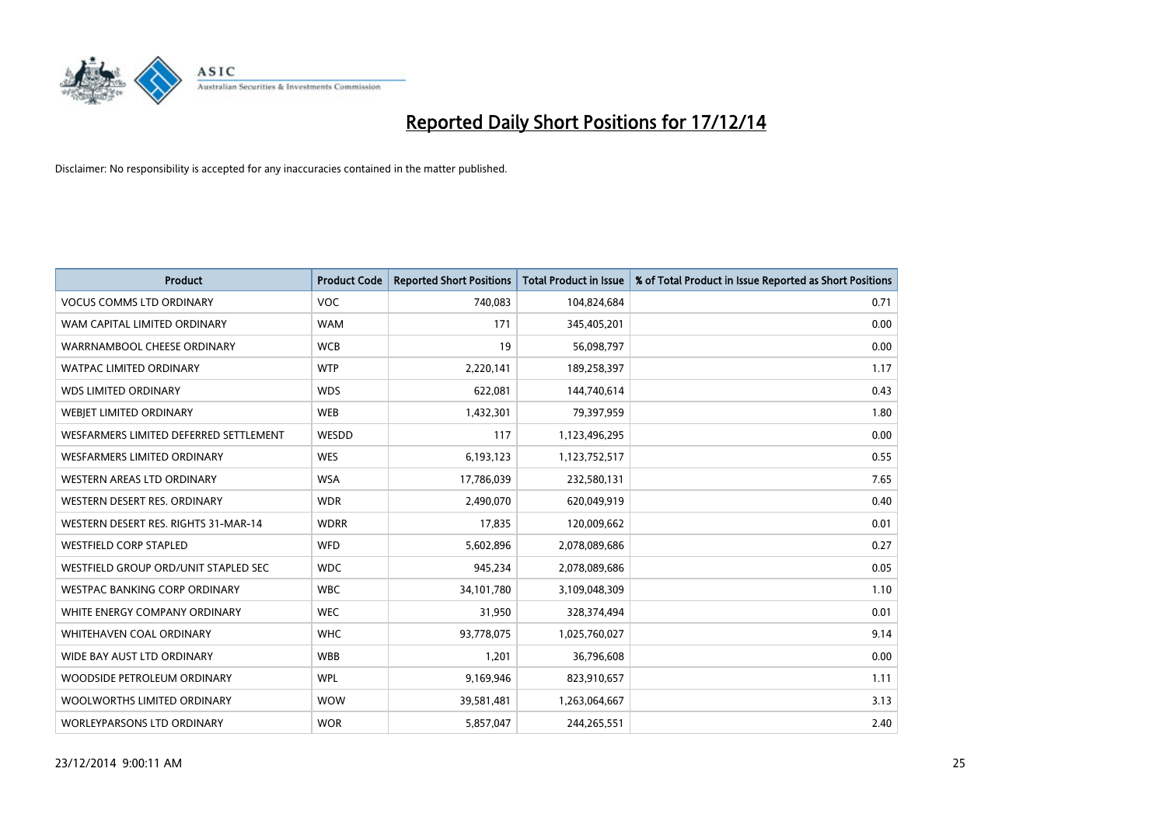

| <b>Product</b>                         | <b>Product Code</b> | <b>Reported Short Positions</b> | <b>Total Product in Issue</b> | % of Total Product in Issue Reported as Short Positions |
|----------------------------------------|---------------------|---------------------------------|-------------------------------|---------------------------------------------------------|
| <b>VOCUS COMMS LTD ORDINARY</b>        | <b>VOC</b>          | 740,083                         | 104,824,684                   | 0.71                                                    |
| WAM CAPITAL LIMITED ORDINARY           | <b>WAM</b>          | 171                             | 345,405,201                   | 0.00                                                    |
| WARRNAMBOOL CHEESE ORDINARY            | <b>WCB</b>          | 19                              | 56,098,797                    | 0.00                                                    |
| <b>WATPAC LIMITED ORDINARY</b>         | <b>WTP</b>          | 2,220,141                       | 189,258,397                   | 1.17                                                    |
| <b>WDS LIMITED ORDINARY</b>            | <b>WDS</b>          | 622,081                         | 144,740,614                   | 0.43                                                    |
| WEBIET LIMITED ORDINARY                | <b>WEB</b>          | 1,432,301                       | 79,397,959                    | 1.80                                                    |
| WESFARMERS LIMITED DEFERRED SETTLEMENT | WESDD               | 117                             | 1,123,496,295                 | 0.00                                                    |
| <b>WESFARMERS LIMITED ORDINARY</b>     | <b>WES</b>          | 6,193,123                       | 1,123,752,517                 | 0.55                                                    |
| <b>WESTERN AREAS LTD ORDINARY</b>      | <b>WSA</b>          | 17,786,039                      | 232,580,131                   | 7.65                                                    |
| WESTERN DESERT RES. ORDINARY           | <b>WDR</b>          | 2,490,070                       | 620,049,919                   | 0.40                                                    |
| WESTERN DESERT RES. RIGHTS 31-MAR-14   | <b>WDRR</b>         | 17,835                          | 120,009,662                   | 0.01                                                    |
| <b>WESTFIELD CORP STAPLED</b>          | <b>WFD</b>          | 5,602,896                       | 2,078,089,686                 | 0.27                                                    |
| WESTFIELD GROUP ORD/UNIT STAPLED SEC   | <b>WDC</b>          | 945,234                         | 2,078,089,686                 | 0.05                                                    |
| <b>WESTPAC BANKING CORP ORDINARY</b>   | <b>WBC</b>          | 34,101,780                      | 3,109,048,309                 | 1.10                                                    |
| WHITE ENERGY COMPANY ORDINARY          | <b>WEC</b>          | 31,950                          | 328,374,494                   | 0.01                                                    |
| <b>WHITEHAVEN COAL ORDINARY</b>        | <b>WHC</b>          | 93,778,075                      | 1,025,760,027                 | 9.14                                                    |
| WIDE BAY AUST LTD ORDINARY             | <b>WBB</b>          | 1,201                           | 36,796,608                    | 0.00                                                    |
| WOODSIDE PETROLEUM ORDINARY            | <b>WPL</b>          | 9,169,946                       | 823,910,657                   | 1.11                                                    |
| WOOLWORTHS LIMITED ORDINARY            | <b>WOW</b>          | 39,581,481                      | 1,263,064,667                 | 3.13                                                    |
| WORLEYPARSONS LTD ORDINARY             | <b>WOR</b>          | 5,857,047                       | 244,265,551                   | 2.40                                                    |